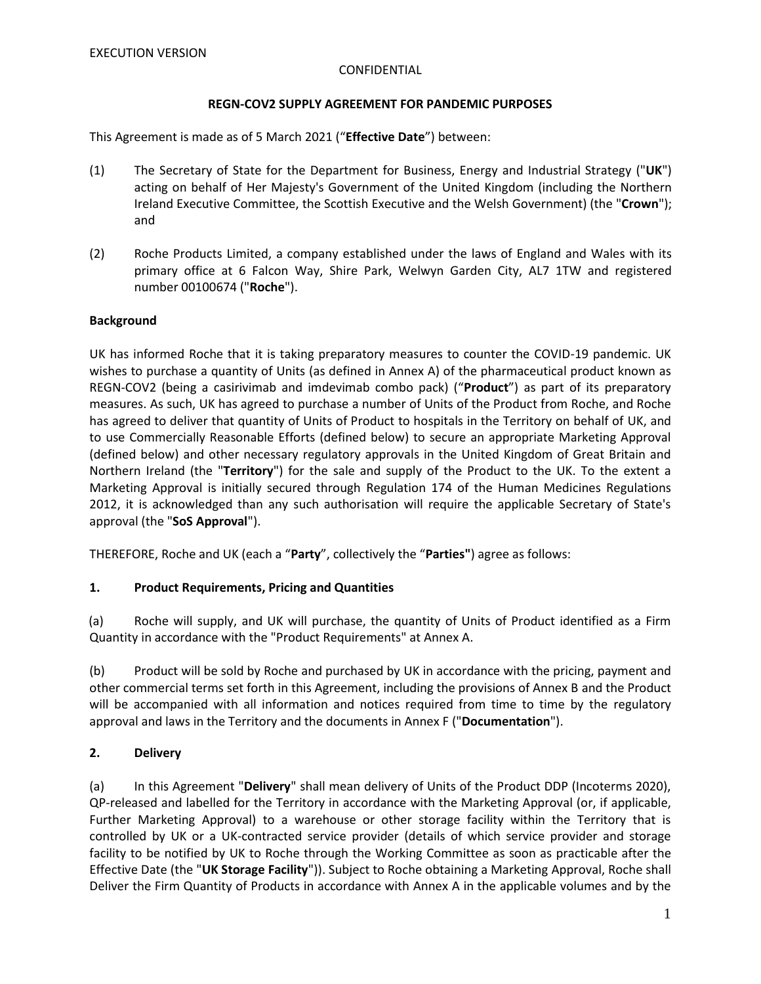# **REGN-COV2 SUPPLY AGREEMENT FOR PANDEMIC PURPOSES**

This Agreement is made as of 5 March 2021 ("**Effective Date**") between:

- (1) The Secretary of State for the Department for Business, Energy and Industrial Strategy ("**UK**") acting on behalf of Her Majesty's Government of the United Kingdom (including the Northern Ireland Executive Committee, the Scottish Executive and the Welsh Government) (the "**Crown**"); and
- (2) Roche Products Limited, a company established under the laws of England and Wales with its primary office at 6 Falcon Way, Shire Park, Welwyn Garden City, AL7 1TW and registered number 00100674 ("**Roche**").

# **Background**

UK has informed Roche that it is taking preparatory measures to counter the COVID-19 pandemic. UK wishes to purchase a quantity of Units (as defined in Annex A) of the pharmaceutical product known as REGN-COV2 (being a casirivimab and imdevimab combo pack) ("**Product**") as part of its preparatory measures. As such, UK has agreed to purchase a number of Units of the Product from Roche, and Roche has agreed to deliver that quantity of Units of Product to hospitals in the Territory on behalf of UK, and to use Commercially Reasonable Efforts (defined below) to secure an appropriate Marketing Approval (defined below) and other necessary regulatory approvals in the United Kingdom of Great Britain and Northern Ireland (the "**Territory**") for the sale and supply of the Product to the UK. To the extent a Marketing Approval is initially secured through Regulation 174 of the Human Medicines Regulations 2012, it is acknowledged than any such authorisation will require the applicable Secretary of State's approval (the "**SoS Approval**").

THEREFORE, Roche and UK (each a "**Party**", collectively the "**Parties"**) agree as follows:

# **1. Product Requirements, Pricing and Quantities**

(a) Roche will supply, and UK will purchase, the quantity of Units of Product identified as a Firm Quantity in accordance with the "Product Requirements" at Annex A.

(b) Product will be sold by Roche and purchased by UK in accordance with the pricing, payment and other commercial terms set forth in this Agreement, including the provisions of Annex B and the Product will be accompanied with all information and notices required from time to time by the regulatory approval and laws in the Territory and the documents in Annex F ("**Documentation**").

# **2. Delivery**

(a) In this Agreement "**Delivery**" shall mean delivery of Units of the Product DDP (Incoterms 2020), QP-released and labelled for the Territory in accordance with the Marketing Approval (or, if applicable, Further Marketing Approval) to a warehouse or other storage facility within the Territory that is controlled by UK or a UK-contracted service provider (details of which service provider and storage facility to be notified by UK to Roche through the Working Committee as soon as practicable after the Effective Date (the "**UK Storage Facility**")). Subject to Roche obtaining a Marketing Approval, Roche shall Deliver the Firm Quantity of Products in accordance with Annex A in the applicable volumes and by the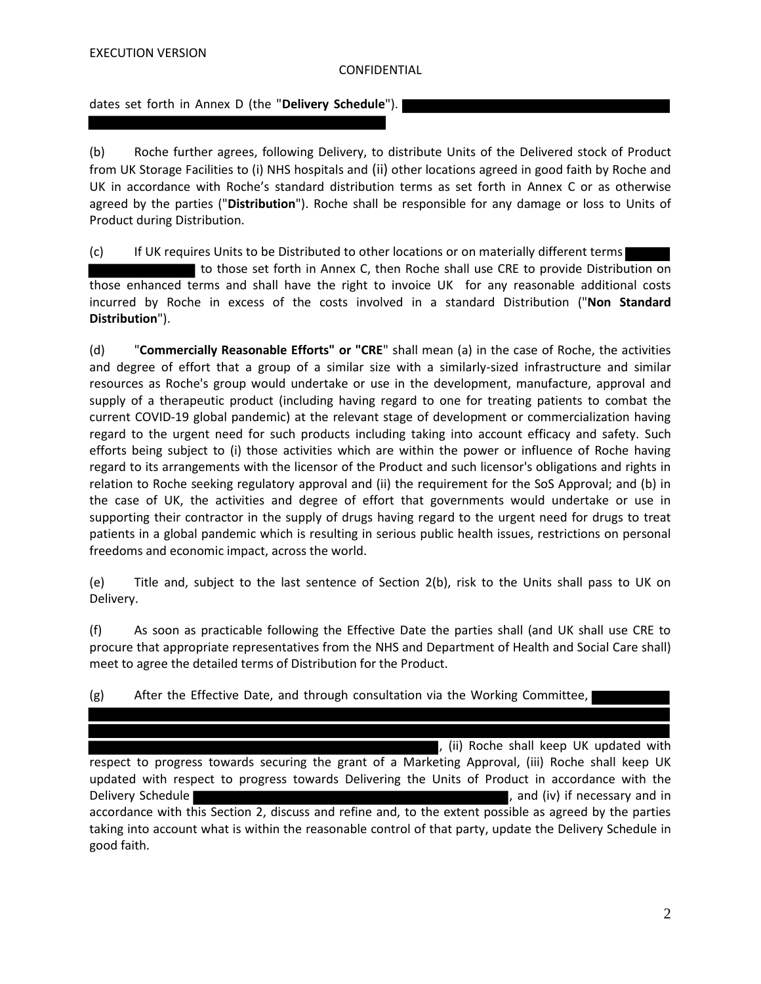dates set forth in Annex D (the "**Delivery Schedule**").

(b) Roche further agrees, following Delivery, to distribute Units of the Delivered stock of Product from UK Storage Facilities to (i) NHS hospitals and (ii) other locations agreed in good faith by Roche and UK in accordance with Roche's standard distribution terms as set forth in Annex C or as otherwise agreed by the parties ("**Distribution**"). Roche shall be responsible for any damage or loss to Units of Product during Distribution.

(c) If UK requires Units to be Distributed to other locations or on materially different terms to those set forth in Annex C, then Roche shall use CRE to provide Distribution on those enhanced terms and shall have the right to invoice UK for any reasonable additional costs incurred by Roche in excess of the costs involved in a standard Distribution ("**Non Standard Distribution**").

(d) "**Commercially Reasonable Efforts" or "CRE**" shall mean (a) in the case of Roche, the activities and degree of effort that a group of a similar size with a similarly-sized infrastructure and similar resources as Roche's group would undertake or use in the development, manufacture, approval and supply of a therapeutic product (including having regard to one for treating patients to combat the current COVID-19 global pandemic) at the relevant stage of development or commercialization having regard to the urgent need for such products including taking into account efficacy and safety. Such efforts being subject to (i) those activities which are within the power or influence of Roche having regard to its arrangements with the licensor of the Product and such licensor's obligations and rights in relation to Roche seeking regulatory approval and (ii) the requirement for the SoS Approval; and (b) in the case of UK, the activities and degree of effort that governments would undertake or use in supporting their contractor in the supply of drugs having regard to the urgent need for drugs to treat patients in a global pandemic which is resulting in serious public health issues, restrictions on personal freedoms and economic impact, across the world.

(e) Title and, subject to the last sentence of Section 2(b), risk to the Units shall pass to UK on Delivery.

(f) As soon as practicable following the Effective Date the parties shall (and UK shall use CRE to procure that appropriate representatives from the NHS and Department of Health and Social Care shall) meet to agree the detailed terms of Distribution for the Product.

(g) After the Effective Date, and through consultation via the Working Committee,

, (ii) Roche shall keep UK updated with respect to progress towards securing the grant of a Marketing Approval, (iii) Roche shall keep UK updated with respect to progress towards Delivering the Units of Product in accordance with the Delivery Schedule **Schedule** , and (iv) if necessary and in accordance with this Section 2, discuss and refine and, to the extent possible as agreed by the parties taking into account what is within the reasonable control of that party, update the Delivery Schedule in good faith.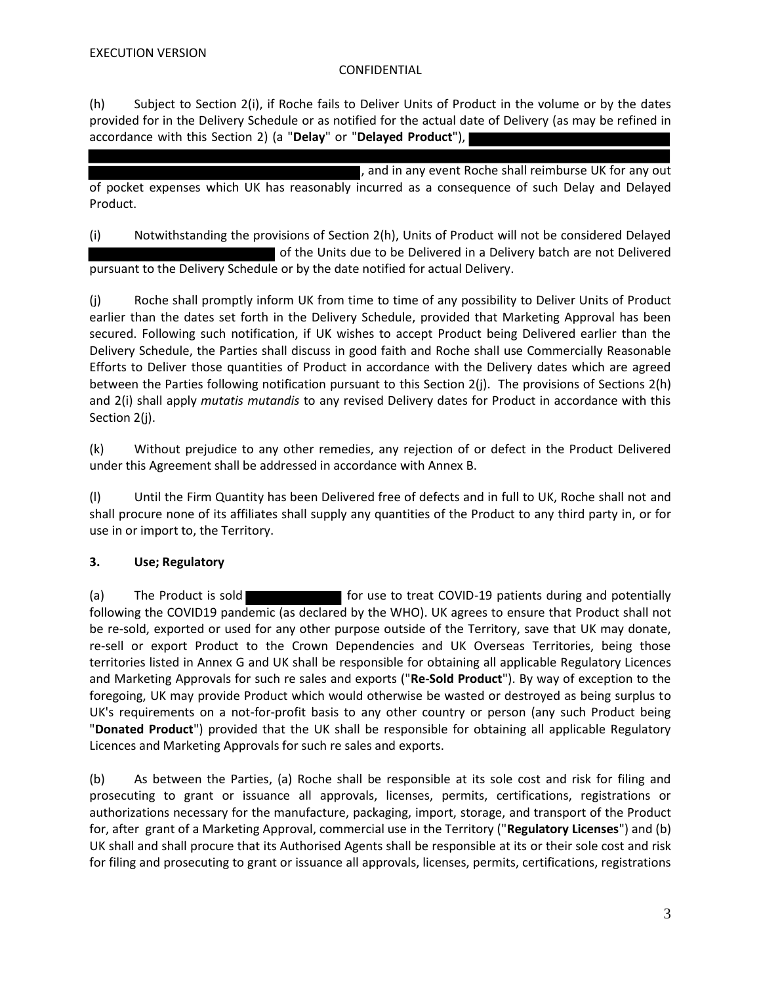(h) Subject to Section 2(i), if Roche fails to Deliver Units of Product in the volume or by the dates provided for in the Delivery Schedule or as notified for the actual date of Delivery (as may be refined in accordance with this Section 2) (a "**Delay**" or "**Delayed Product**"),

, and in any event Roche shall reimburse UK for any out of pocket expenses which UK has reasonably incurred as a consequence of such Delay and Delayed Product.

(i) Notwithstanding the provisions of Section 2(h), Units of Product will not be considered Delayed of the Units due to be Delivered in a Delivery batch are not Delivered pursuant to the Delivery Schedule or by the date notified for actual Delivery.

(j) Roche shall promptly inform UK from time to time of any possibility to Deliver Units of Product earlier than the dates set forth in the Delivery Schedule, provided that Marketing Approval has been secured. Following such notification, if UK wishes to accept Product being Delivered earlier than the Delivery Schedule, the Parties shall discuss in good faith and Roche shall use Commercially Reasonable Efforts to Deliver those quantities of Product in accordance with the Delivery dates which are agreed between the Parties following notification pursuant to this Section 2(j). The provisions of Sections 2(h) and 2(i) shall apply *mutatis mutandis* to any revised Delivery dates for Product in accordance with this Section 2(j).

(k) Without prejudice to any other remedies, any rejection of or defect in the Product Delivered under this Agreement shall be addressed in accordance with Annex B.

(l) Until the Firm Quantity has been Delivered free of defects and in full to UK, Roche shall not and shall procure none of its affiliates shall supply any quantities of the Product to any third party in, or for use in or import to, the Territory.

# **3. Use; Regulatory**

(a) The Product is sold **for use to treat COVID-19 patients during and potentially** following the COVID19 pandemic (as declared by the WHO). UK agrees to ensure that Product shall not be re-sold, exported or used for any other purpose outside of the Territory, save that UK may donate, re-sell or export Product to the Crown Dependencies and UK Overseas Territories, being those territories listed in Annex G and UK shall be responsible for obtaining all applicable Regulatory Licences and Marketing Approvals for such re sales and exports ("**Re-Sold Product**"). By way of exception to the foregoing, UK may provide Product which would otherwise be wasted or destroyed as being surplus to UK's requirements on a not-for-profit basis to any other country or person (any such Product being "**Donated Product**") provided that the UK shall be responsible for obtaining all applicable Regulatory Licences and Marketing Approvals for such re sales and exports.

(b) As between the Parties, (a) Roche shall be responsible at its sole cost and risk for filing and prosecuting to grant or issuance all approvals, licenses, permits, certifications, registrations or authorizations necessary for the manufacture, packaging, import, storage, and transport of the Product for, after grant of a Marketing Approval, commercial use in the Territory ("**Regulatory Licenses**") and (b) UK shall and shall procure that its Authorised Agents shall be responsible at its or their sole cost and risk for filing and prosecuting to grant or issuance all approvals, licenses, permits, certifications, registrations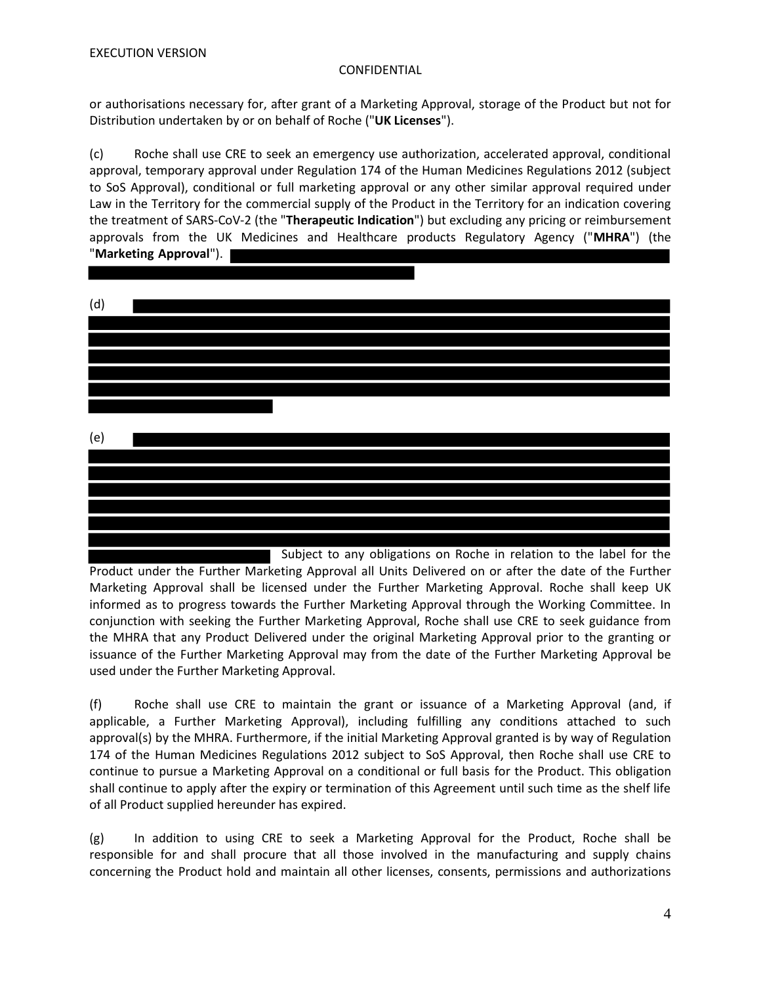or authorisations necessary for, after grant of a Marketing Approval, storage of the Product but not for Distribution undertaken by or on behalf of Roche ("**UK Licenses**").

(c) Roche shall use CRE to seek an emergency use authorization, accelerated approval, conditional approval, temporary approval under Regulation 174 of the Human Medicines Regulations 2012 (subject to SoS Approval), conditional or full marketing approval or any other similar approval required under Law in the Territory for the commercial supply of the Product in the Territory for an indication covering the treatment of SARS-CoV-2 (the "**Therapeutic Indication**") but excluding any pricing or reimbursement approvals from the UK Medicines and Healthcare products Regulatory Agency ("**MHRA**") (the "**Marketing Approval**").



 Subject to any obligations on Roche in relation to the label for the Product under the Further Marketing Approval all Units Delivered on or after the date of the Further Marketing Approval shall be licensed under the Further Marketing Approval. Roche shall keep UK informed as to progress towards the Further Marketing Approval through the Working Committee. In conjunction with seeking the Further Marketing Approval, Roche shall use CRE to seek guidance from the MHRA that any Product Delivered under the original Marketing Approval prior to the granting or issuance of the Further Marketing Approval may from the date of the Further Marketing Approval be used under the Further Marketing Approval.

(f) Roche shall use CRE to maintain the grant or issuance of a Marketing Approval (and, if applicable, a Further Marketing Approval), including fulfilling any conditions attached to such approval(s) by the MHRA. Furthermore, if the initial Marketing Approval granted is by way of Regulation 174 of the Human Medicines Regulations 2012 subject to SoS Approval, then Roche shall use CRE to continue to pursue a Marketing Approval on a conditional or full basis for the Product. This obligation shall continue to apply after the expiry or termination of this Agreement until such time as the shelf life of all Product supplied hereunder has expired.

(g) In addition to using CRE to seek a Marketing Approval for the Product, Roche shall be responsible for and shall procure that all those involved in the manufacturing and supply chains concerning the Product hold and maintain all other licenses, consents, permissions and authorizations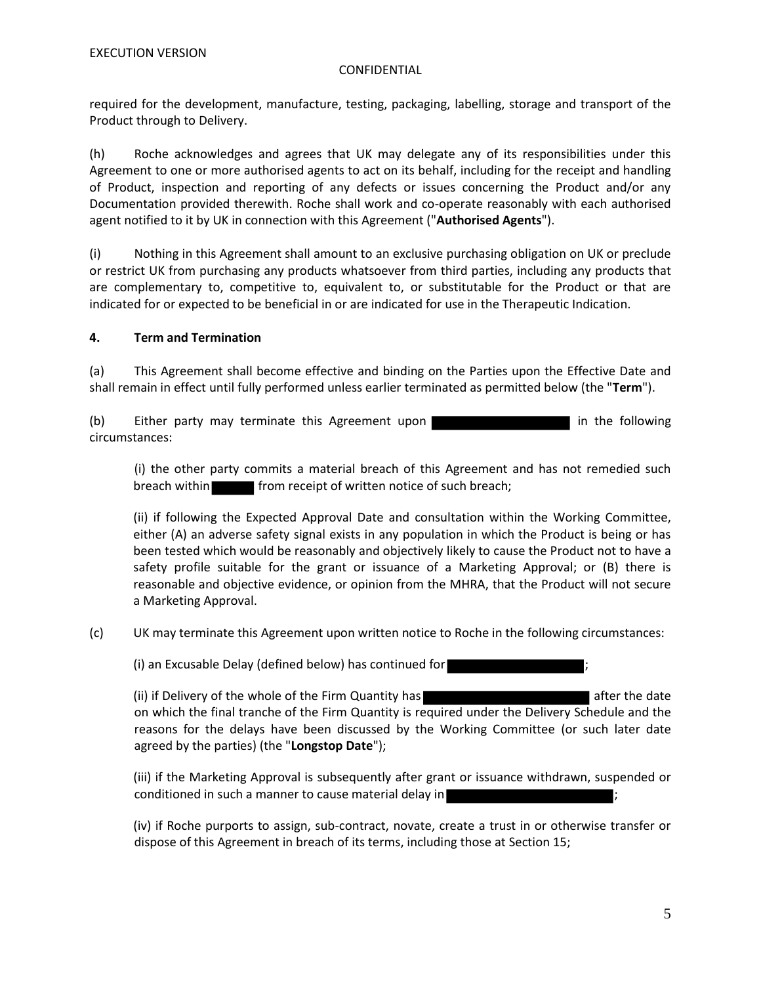required for the development, manufacture, testing, packaging, labelling, storage and transport of the Product through to Delivery.

(h) Roche acknowledges and agrees that UK may delegate any of its responsibilities under this Agreement to one or more authorised agents to act on its behalf, including for the receipt and handling of Product, inspection and reporting of any defects or issues concerning the Product and/or any Documentation provided therewith. Roche shall work and co-operate reasonably with each authorised agent notified to it by UK in connection with this Agreement ("**Authorised Agents**").

(i) Nothing in this Agreement shall amount to an exclusive purchasing obligation on UK or preclude or restrict UK from purchasing any products whatsoever from third parties, including any products that are complementary to, competitive to, equivalent to, or substitutable for the Product or that are indicated for or expected to be beneficial in or are indicated for use in the Therapeutic Indication.

# **4. Term and Termination**

(a) This Agreement shall become effective and binding on the Parties upon the Effective Date and shall remain in effect until fully performed unless earlier terminated as permitted below (the "**Term**").

(b) Either party may terminate this Agreement upon circumstances:

(i) the other party commits a material breach of this Agreement and has not remedied such breach within **from receipt of written notice of such breach**;

 (ii) if following the Expected Approval Date and consultation within the Working Committee, either (A) an adverse safety signal exists in any population in which the Product is being or has been tested which would be reasonably and objectively likely to cause the Product not to have a safety profile suitable for the grant or issuance of a Marketing Approval; or (B) there is reasonable and objective evidence, or opinion from the MHRA, that the Product will not secure a Marketing Approval.

(c) UK may terminate this Agreement upon written notice to Roche in the following circumstances:

(i) an Excusable Delay (defined below) has continued for ;

(ii) if Delivery of the whole of the Firm Quantity has a structure of the date after the date on which the final tranche of the Firm Quantity is required under the Delivery Schedule and the reasons for the delays have been discussed by the Working Committee (or such later date agreed by the parties) (the "**Longstop Date**");

(iii) if the Marketing Approval is subsequently after grant or issuance withdrawn, suspended or conditioned in such a manner to cause material delay in

(iv) if Roche purports to assign, sub-contract, novate, create a trust in or otherwise transfer or dispose of this Agreement in breach of its terms, including those at Section 15;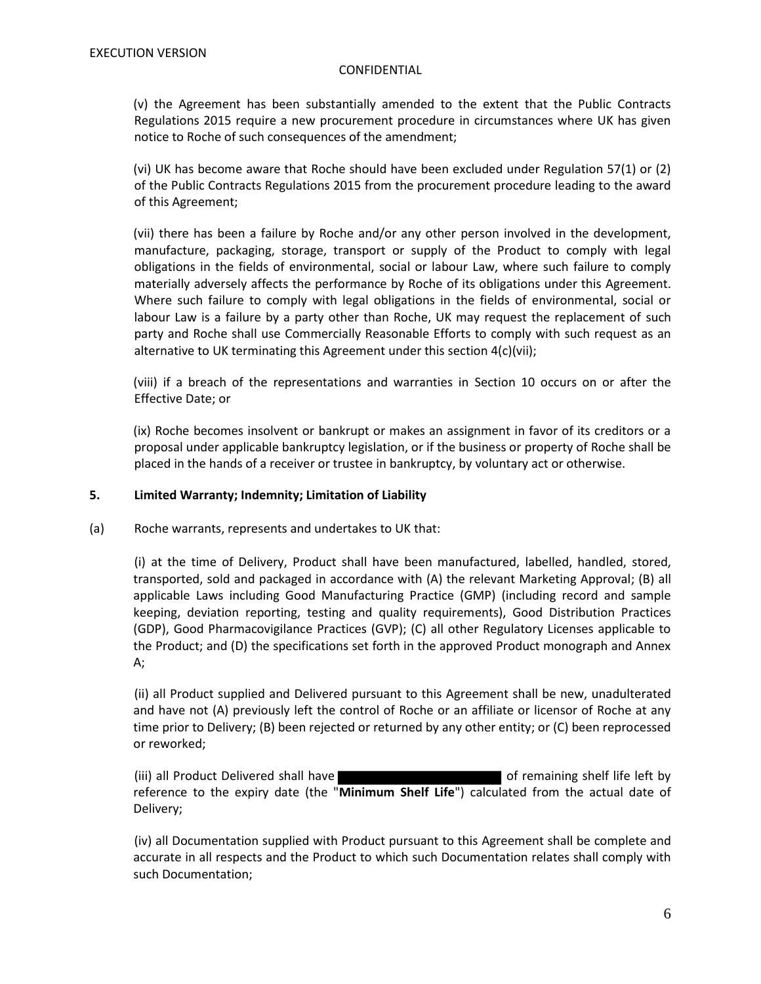(v) the Agreement has been substantially amended to the extent that the Public Contracts Regulations 2015 require a new procurement procedure in circumstances where UK has given notice to Roche of such consequences of the amendment;

(vi) UK has become aware that Roche should have been excluded under Regulation 57(1) or (2) of the Public Contracts Regulations 2015 from the procurement procedure leading to the award of this Agreement;

(vii) there has been a failure by Roche and/or any other person involved in the development, manufacture, packaging, storage, transport or supply of the Product to comply with legal obligations in the fields of environmental, social or labour Law, where such failure to comply materially adversely affects the performance by Roche of its obligations under this Agreement. Where such failure to comply with legal obligations in the fields of environmental, social or labour Law is a failure by a party other than Roche, UK may request the replacement of such party and Roche shall use Commercially Reasonable Efforts to comply with such request as an alternative to UK terminating this Agreement under this section 4(c)(vii);

(viii) if a breach of the representations and warranties in Section 10 occurs on or after the Effective Date; or

(ix) Roche becomes insolvent or bankrupt or makes an assignment in favor of its creditors or a proposal under applicable bankruptcy legislation, or if the business or property of Roche shall be placed in the hands of a receiver or trustee in bankruptcy, by voluntary act or otherwise.

### **5. Limited Warranty; Indemnity; Limitation of Liability**

(a) Roche warrants, represents and undertakes to UK that:

(i) at the time of Delivery, Product shall have been manufactured, labelled, handled, stored, transported, sold and packaged in accordance with (A) the relevant Marketing Approval; (B) all applicable Laws including Good Manufacturing Practice (GMP) (including record and sample keeping, deviation reporting, testing and quality requirements), Good Distribution Practices (GDP), Good Pharmacovigilance Practices (GVP); (C) all other Regulatory Licenses applicable to the Product; and (D) the specifications set forth in the approved Product monograph and Annex A;

(ii) all Product supplied and Delivered pursuant to this Agreement shall be new, unadulterated and have not (A) previously left the control of Roche or an affiliate or licensor of Roche at any time prior to Delivery; (B) been rejected or returned by any other entity; or (C) been reprocessed or reworked;

(iii) all Product Delivered shall have **the summary contained as a state of remaining shelf life left by** reference to the expiry date (the "**Minimum Shelf Life**") calculated from the actual date of Delivery;

(iv) all Documentation supplied with Product pursuant to this Agreement shall be complete and accurate in all respects and the Product to which such Documentation relates shall comply with such Documentation;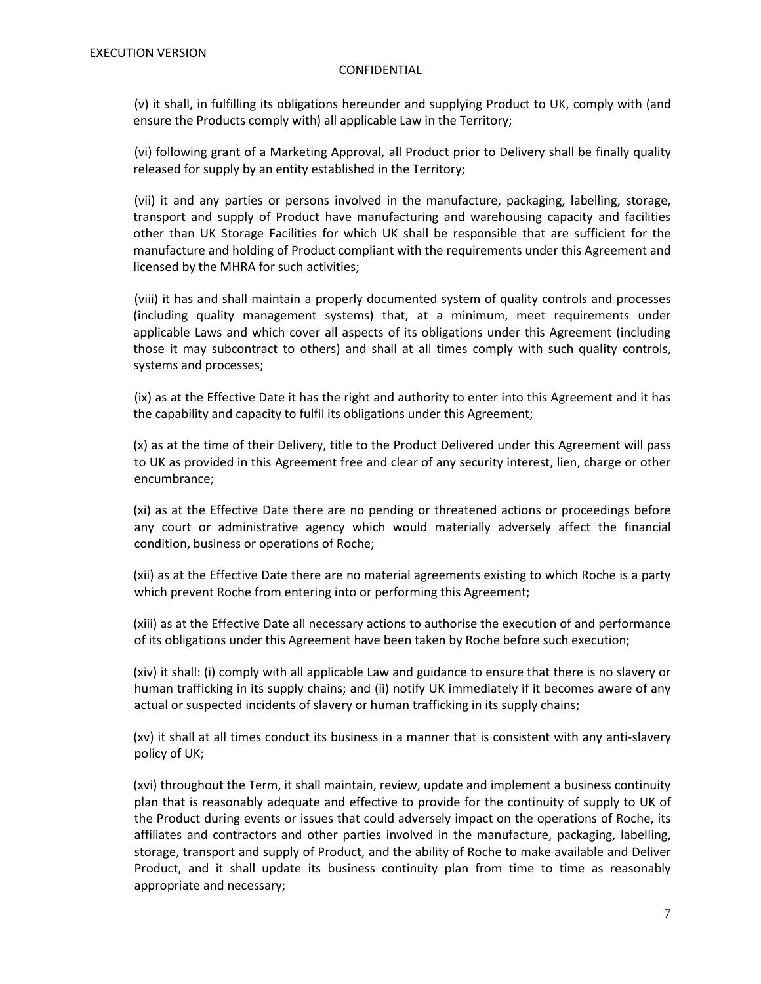(v) it shall, in fulfilling its obligations hereunder and supplying Product to UK, comply with (and ensure the Products comply with) all applicable Law in the Territory;

(vi) following grant of a Marketing Approval, all Product prior to Delivery shall be finally quality released for supply by an entity established in the Territory;

(vii) it and any parties or persons involved in the manufacture, packaging, labelling, storage, transport and supply of Product have manufacturing and warehousing capacity and facilities other than UK Storage Facilities for which UK shall be responsible that are sufficient for the manufacture and holding of Product compliant with the requirements under this Agreement and licensed by the MHRA for such activities;

(viii) it has and shall maintain a properly documented system of quality controls and processes (including quality management systems) that, at a minimum, meet requirements under applicable Laws and which cover all aspects of its obligations under this Agreement (including those it may subcontract to others) and shall at all times comply with such quality controls, systems and processes;

(ix) as at the Effective Date it has the right and authority to enter into this Agreement and it has the capability and capacity to fulfil its obligations under this Agreement;

(x) as at the time of their Delivery, title to the Product Delivered under this Agreement will pass to UK as provided in this Agreement free and clear of any security interest, lien, charge or other encumbrance;

(xi) as at the Effective Date there are no pending or threatened actions or proceedings before any court or administrative agency which would materially adversely affect the financial condition, business or operations of Roche;

(xii) as at the Effective Date there are no material agreements existing to which Roche is a party which prevent Roche from entering into or performing this Agreement;

(xiii) as at the Effective Date all necessary actions to authorise the execution of and performance of its obligations under this Agreement have been taken by Roche before such execution;

(xiv) it shall: (i) comply with all applicable Law and guidance to ensure that there is no slavery or human trafficking in its supply chains; and (ii) notify UK immediately if it becomes aware of any actual or suspected incidents of slavery or human trafficking in its supply chains;

(xv) it shall at all times conduct its business in a manner that is consistent with any anti-slavery policy of UK;

(xvi) throughout the Term, it shall maintain, review, update and implement a business continuity plan that is reasonably adequate and effective to provide for the continuity of supply to UK of the Product during events or issues that could adversely impact on the operations of Roche, its affiliates and contractors and other parties involved in the manufacture, packaging, labelling, storage, transport and supply of Product, and the ability of Roche to make available and Deliver Product, and it shall update its business continuity plan from time to time as reasonably appropriate and necessary;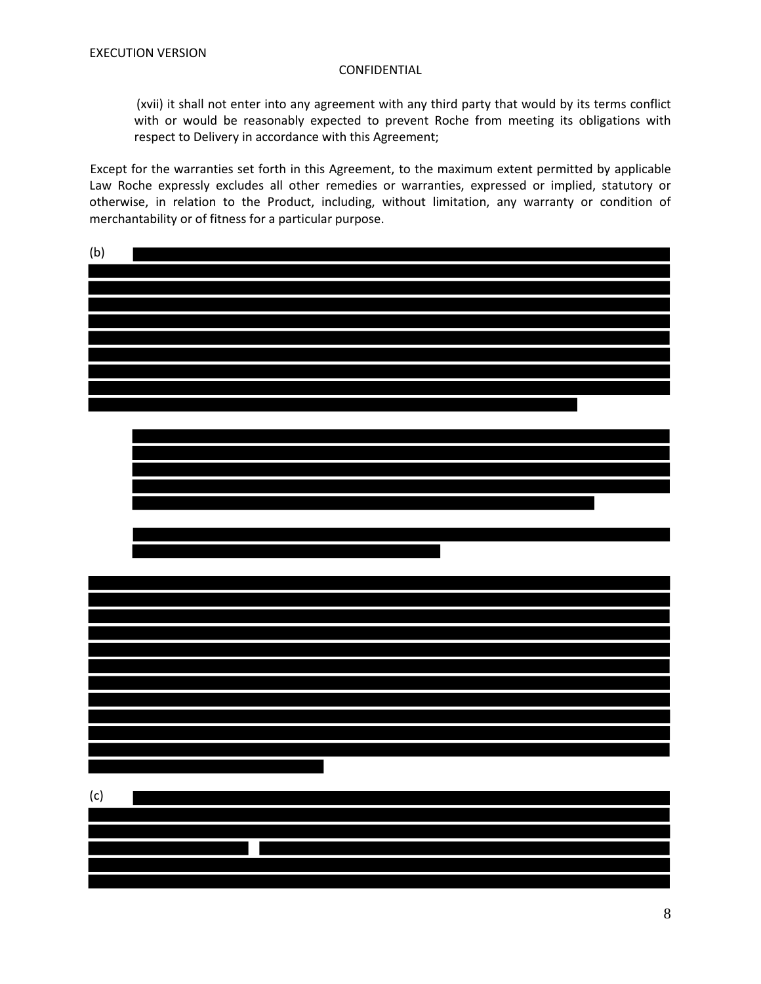(xvii) it shall not enter into any agreement with any third party that would by its terms conflict with or would be reasonably expected to prevent Roche from meeting its obligations with respect to Delivery in accordance with this Agreement;

Except for the warranties set forth in this Agreement, to the maximum extent permitted by applicable Law Roche expressly excludes all other remedies or warranties, expressed or implied, statutory or otherwise, in relation to the Product, including, without limitation, any warranty or condition of merchantability or of fitness for a particular purpose.

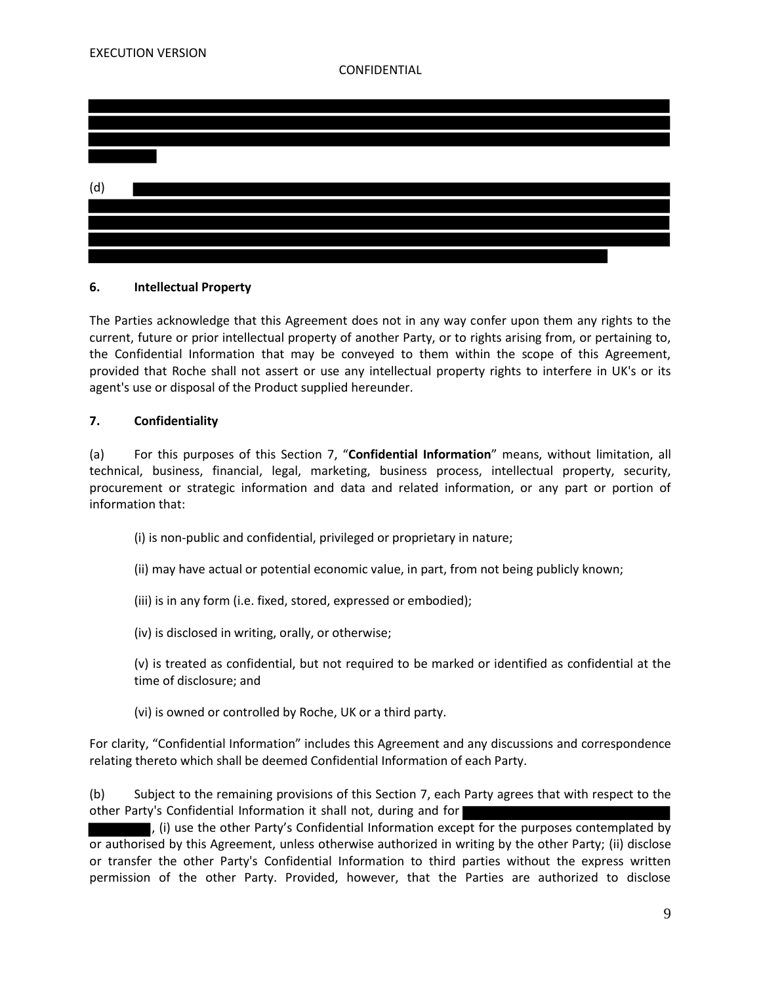

# **6. Intellectual Property**

The Parties acknowledge that this Agreement does not in any way confer upon them any rights to the current, future or prior intellectual property of another Party, or to rights arising from, or pertaining to, the Confidential Information that may be conveyed to them within the scope of this Agreement, provided that Roche shall not assert or use any intellectual property rights to interfere in UK's or its agent's use or disposal of the Product supplied hereunder.

# **7. Confidentiality**

(a) For this purposes of this Section 7, "**Confidential Information**" means, without limitation, all technical, business, financial, legal, marketing, business process, intellectual property, security, procurement or strategic information and data and related information, or any part or portion of information that:

- (i) is non-public and confidential, privileged or proprietary in nature;
- (ii) may have actual or potential economic value, in part, from not being publicly known;
- (iii) is in any form (i.e. fixed, stored, expressed or embodied);
- (iv) is disclosed in writing, orally, or otherwise;
- (v) is treated as confidential, but not required to be marked or identified as confidential at the time of disclosure; and
- (vi) is owned or controlled by Roche, UK or a third party.

For clarity, "Confidential Information" includes this Agreement and any discussions and correspondence relating thereto which shall be deemed Confidential Information of each Party.

(b) Subject to the remaining provisions of this Section 7, each Party agrees that with respect to the other Party's Confidential Information it shall not, during and for

, (i) use the other Party's Confidential Information except for the purposes contemplated by or authorised by this Agreement, unless otherwise authorized in writing by the other Party; (ii) disclose or transfer the other Party's Confidential Information to third parties without the express written permission of the other Party. Provided, however, that the Parties are authorized to disclose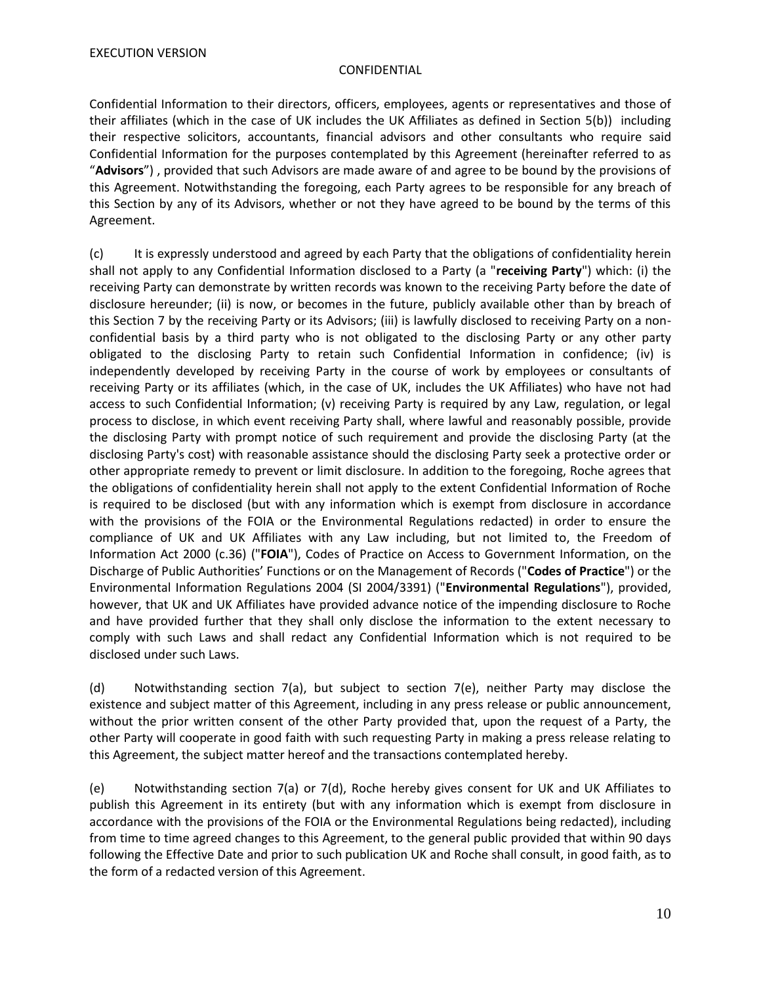Confidential Information to their directors, officers, employees, agents or representatives and those of their affiliates (which in the case of UK includes the UK Affiliates as defined in Section 5(b)) including their respective solicitors, accountants, financial advisors and other consultants who require said Confidential Information for the purposes contemplated by this Agreement (hereinafter referred to as "**Advisors**") , provided that such Advisors are made aware of and agree to be bound by the provisions of this Agreement. Notwithstanding the foregoing, each Party agrees to be responsible for any breach of this Section by any of its Advisors, whether or not they have agreed to be bound by the terms of this Agreement.

(c) It is expressly understood and agreed by each Party that the obligations of confidentiality herein shall not apply to any Confidential Information disclosed to a Party (a "**receiving Party**") which: (i) the receiving Party can demonstrate by written records was known to the receiving Party before the date of disclosure hereunder; (ii) is now, or becomes in the future, publicly available other than by breach of this Section 7 by the receiving Party or its Advisors; (iii) is lawfully disclosed to receiving Party on a nonconfidential basis by a third party who is not obligated to the disclosing Party or any other party obligated to the disclosing Party to retain such Confidential Information in confidence; (iv) is independently developed by receiving Party in the course of work by employees or consultants of receiving Party or its affiliates (which, in the case of UK, includes the UK Affiliates) who have not had access to such Confidential Information; (v) receiving Party is required by any Law, regulation, or legal process to disclose, in which event receiving Party shall, where lawful and reasonably possible, provide the disclosing Party with prompt notice of such requirement and provide the disclosing Party (at the disclosing Party's cost) with reasonable assistance should the disclosing Party seek a protective order or other appropriate remedy to prevent or limit disclosure. In addition to the foregoing, Roche agrees that the obligations of confidentiality herein shall not apply to the extent Confidential Information of Roche is required to be disclosed (but with any information which is exempt from disclosure in accordance with the provisions of the FOIA or the Environmental Regulations redacted) in order to ensure the compliance of UK and UK Affiliates with any Law including, but not limited to, the Freedom of Information Act 2000 (c.36) ("**FOIA**"), Codes of Practice on Access to Government Information, on the Discharge of Public Authorities' Functions or on the Management of Records ("**Codes of Practice**") or the Environmental Information Regulations 2004 (SI 2004/3391) ("**Environmental Regulations**"), provided, however, that UK and UK Affiliates have provided advance notice of the impending disclosure to Roche and have provided further that they shall only disclose the information to the extent necessary to comply with such Laws and shall redact any Confidential Information which is not required to be disclosed under such Laws.

(d) Notwithstanding section 7(a), but subject to section 7(e), neither Party may disclose the existence and subject matter of this Agreement, including in any press release or public announcement, without the prior written consent of the other Party provided that, upon the request of a Party, the other Party will cooperate in good faith with such requesting Party in making a press release relating to this Agreement, the subject matter hereof and the transactions contemplated hereby.

(e) Notwithstanding section 7(a) or 7(d), Roche hereby gives consent for UK and UK Affiliates to publish this Agreement in its entirety (but with any information which is exempt from disclosure in accordance with the provisions of the FOIA or the Environmental Regulations being redacted), including from time to time agreed changes to this Agreement, to the general public provided that within 90 days following the Effective Date and prior to such publication UK and Roche shall consult, in good faith, as to the form of a redacted version of this Agreement.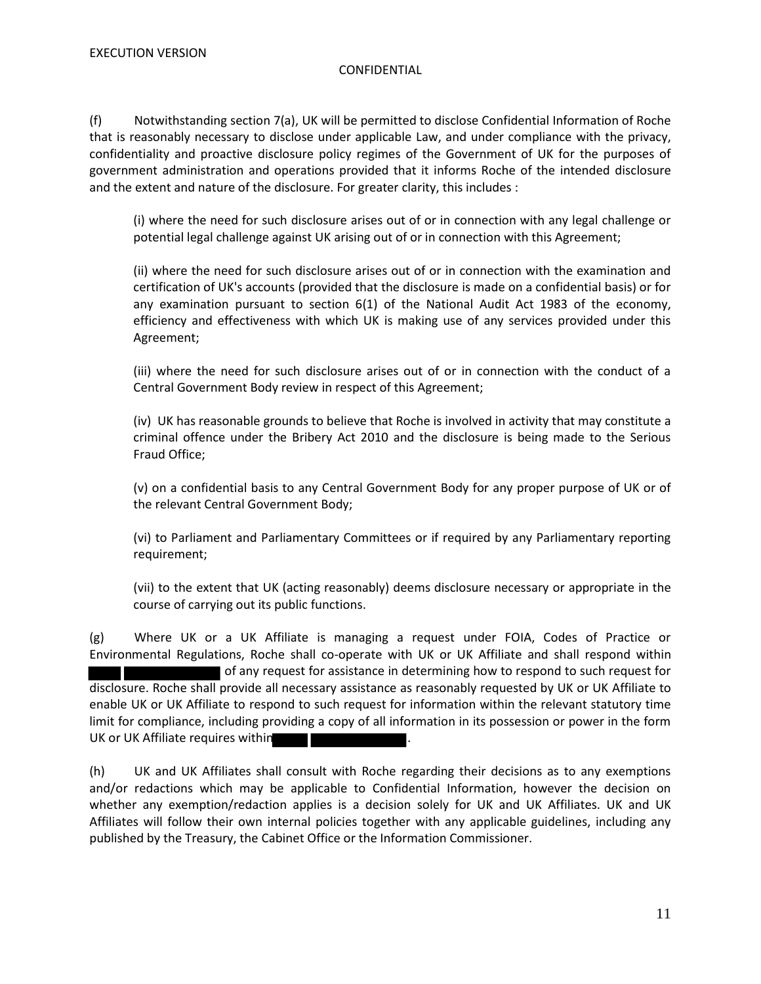(f) Notwithstanding section 7(a), UK will be permitted to disclose Confidential Information of Roche that is reasonably necessary to disclose under applicable Law, and under compliance with the privacy, confidentiality and proactive disclosure policy regimes of the Government of UK for the purposes of government administration and operations provided that it informs Roche of the intended disclosure and the extent and nature of the disclosure. For greater clarity, this includes :

(i) where the need for such disclosure arises out of or in connection with any legal challenge or potential legal challenge against UK arising out of or in connection with this Agreement;

(ii) where the need for such disclosure arises out of or in connection with the examination and certification of UK's accounts (provided that the disclosure is made on a confidential basis) or for any examination pursuant to section 6(1) of the National Audit Act 1983 of the economy, efficiency and effectiveness with which UK is making use of any services provided under this Agreement;

(iii) where the need for such disclosure arises out of or in connection with the conduct of a Central Government Body review in respect of this Agreement;

(iv) UK has reasonable grounds to believe that Roche is involved in activity that may constitute a criminal offence under the Bribery Act 2010 and the disclosure is being made to the Serious Fraud Office;

(v) on a confidential basis to any Central Government Body for any proper purpose of UK or of the relevant Central Government Body;

(vi) to Parliament and Parliamentary Committees or if required by any Parliamentary reporting requirement;

(vii) to the extent that UK (acting reasonably) deems disclosure necessary or appropriate in the course of carrying out its public functions.

(g) Where UK or a UK Affiliate is managing a request under FOIA, Codes of Practice or Environmental Regulations, Roche shall co-operate with UK or UK Affiliate and shall respond within of any request for assistance in determining how to respond to such request for disclosure. Roche shall provide all necessary assistance as reasonably requested by UK or UK Affiliate to enable UK or UK Affiliate to respond to such request for information within the relevant statutory time limit for compliance, including providing a copy of all information in its possession or power in the form UK or UK Affiliate requires within

(h) UK and UK Affiliates shall consult with Roche regarding their decisions as to any exemptions and/or redactions which may be applicable to Confidential Information, however the decision on whether any exemption/redaction applies is a decision solely for UK and UK Affiliates. UK and UK Affiliates will follow their own internal policies together with any applicable guidelines, including any published by the Treasury, the Cabinet Office or the Information Commissioner.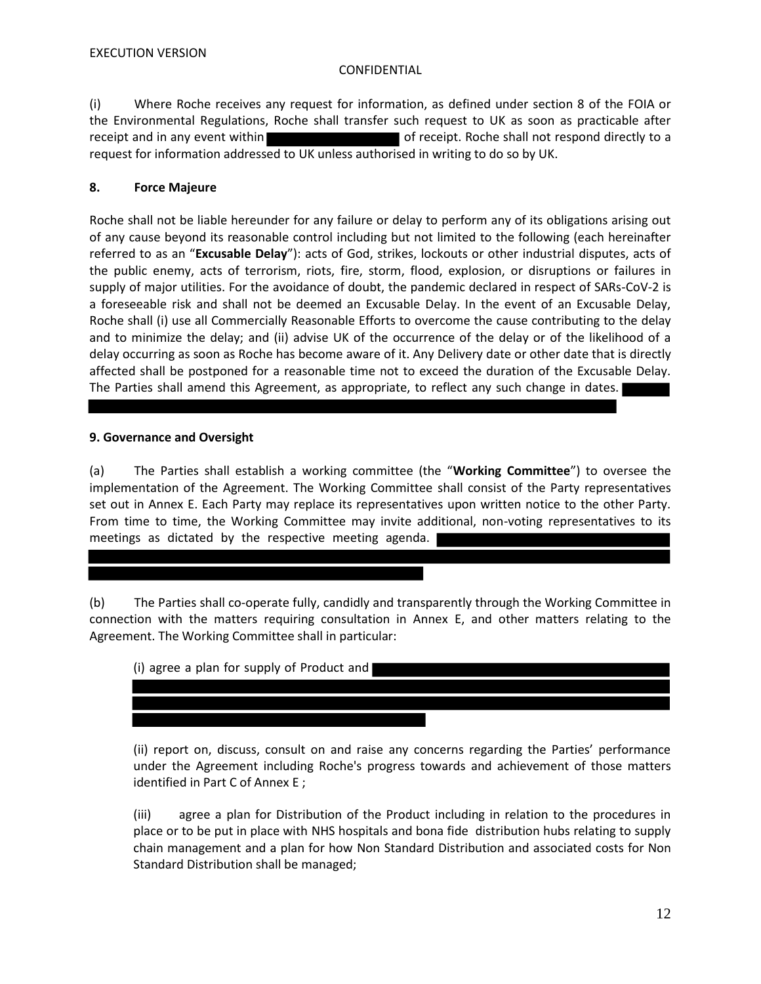(i) Where Roche receives any request for information, as defined under section 8 of the FOIA or the Environmental Regulations, Roche shall transfer such request to UK as soon as practicable after receipt and in any event within **the state of receipt.** Roche shall not respond directly to a request for information addressed to UK unless authorised in writing to do so by UK.

# **8. Force Majeure**

Roche shall not be liable hereunder for any failure or delay to perform any of its obligations arising out of any cause beyond its reasonable control including but not limited to the following (each hereinafter referred to as an "**Excusable Delay**"): acts of God, strikes, lockouts or other industrial disputes, acts of the public enemy, acts of terrorism, riots, fire, storm, flood, explosion, or disruptions or failures in supply of major utilities. For the avoidance of doubt, the pandemic declared in respect of SARs-CoV-2 is a foreseeable risk and shall not be deemed an Excusable Delay. In the event of an Excusable Delay, Roche shall (i) use all Commercially Reasonable Efforts to overcome the cause contributing to the delay and to minimize the delay; and (ii) advise UK of the occurrence of the delay or of the likelihood of a delay occurring as soon as Roche has become aware of it. Any Delivery date or other date that is directly affected shall be postponed for a reasonable time not to exceed the duration of the Excusable Delay. The Parties shall amend this Agreement, as appropriate, to reflect any such change in dates.

# **9. Governance and Oversight**

(a) The Parties shall establish a working committee (the "**Working Committee**") to oversee the implementation of the Agreement. The Working Committee shall consist of the Party representatives set out in Annex E. Each Party may replace its representatives upon written notice to the other Party. From time to time, the Working Committee may invite additional, non-voting representatives to its meetings as dictated by the respective meeting agenda.

(b) The Parties shall co-operate fully, candidly and transparently through the Working Committee in connection with the matters requiring consultation in Annex E, and other matters relating to the Agreement. The Working Committee shall in particular:

| (i) agree a plan for supply of Product and |  |
|--------------------------------------------|--|
|                                            |  |
|                                            |  |
|                                            |  |

(ii) report on, discuss, consult on and raise any concerns regarding the Parties' performance under the Agreement including Roche's progress towards and achievement of those matters identified in Part C of Annex E ;

(iii) agree a plan for Distribution of the Product including in relation to the procedures in place or to be put in place with NHS hospitals and bona fide distribution hubs relating to supply chain management and a plan for how Non Standard Distribution and associated costs for Non Standard Distribution shall be managed;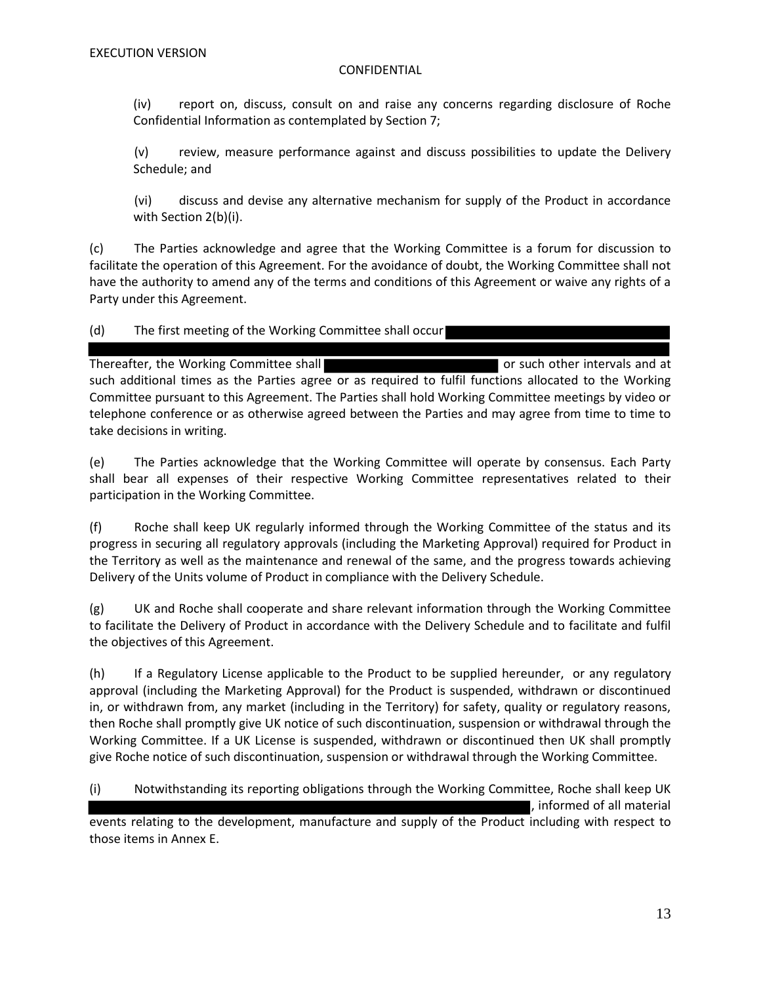(iv) report on, discuss, consult on and raise any concerns regarding disclosure of Roche Confidential Information as contemplated by Section 7;

(v) review, measure performance against and discuss possibilities to update the Delivery Schedule; and

(vi) discuss and devise any alternative mechanism for supply of the Product in accordance with Section 2(b)(i).

(c) The Parties acknowledge and agree that the Working Committee is a forum for discussion to facilitate the operation of this Agreement. For the avoidance of doubt, the Working Committee shall not have the authority to amend any of the terms and conditions of this Agreement or waive any rights of a Party under this Agreement.

# (d) The first meeting of the Working Committee shall occur

Thereafter, the Working Committee shall **the Community of Struth Community** or such other intervals and at such additional times as the Parties agree or as required to fulfil functions allocated to the Working Committee pursuant to this Agreement. The Parties shall hold Working Committee meetings by video or telephone conference or as otherwise agreed between the Parties and may agree from time to time to take decisions in writing.

(e) The Parties acknowledge that the Working Committee will operate by consensus. Each Party shall bear all expenses of their respective Working Committee representatives related to their participation in the Working Committee.

(f) Roche shall keep UK regularly informed through the Working Committee of the status and its progress in securing all regulatory approvals (including the Marketing Approval) required for Product in the Territory as well as the maintenance and renewal of the same, and the progress towards achieving Delivery of the Units volume of Product in compliance with the Delivery Schedule.

(g) UK and Roche shall cooperate and share relevant information through the Working Committee to facilitate the Delivery of Product in accordance with the Delivery Schedule and to facilitate and fulfil the objectives of this Agreement.

(h) If a Regulatory License applicable to the Product to be supplied hereunder, or any regulatory approval (including the Marketing Approval) for the Product is suspended, withdrawn or discontinued in, or withdrawn from, any market (including in the Territory) for safety, quality or regulatory reasons, then Roche shall promptly give UK notice of such discontinuation, suspension or withdrawal through the Working Committee. If a UK License is suspended, withdrawn or discontinued then UK shall promptly give Roche notice of such discontinuation, suspension or withdrawal through the Working Committee.

(i) Notwithstanding its reporting obligations through the Working Committee, Roche shall keep UK

, informed of all material

events relating to the development, manufacture and supply of the Product including with respect to those items in Annex E.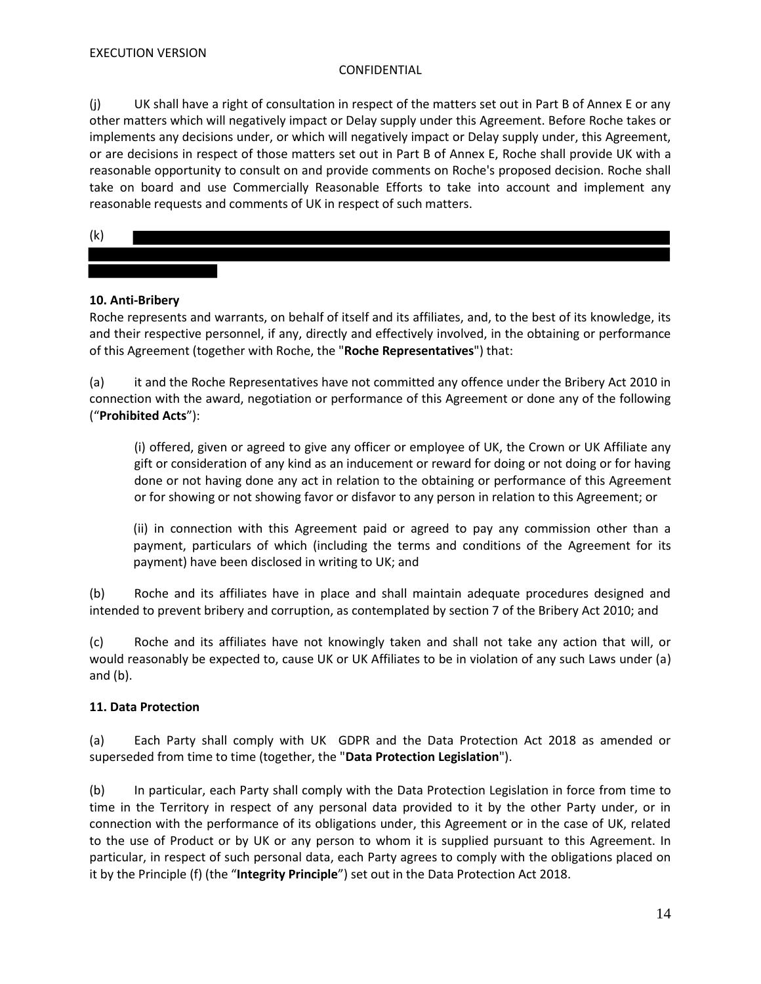(j) UK shall have a right of consultation in respect of the matters set out in Part B of Annex E or any other matters which will negatively impact or Delay supply under this Agreement. Before Roche takes or implements any decisions under, or which will negatively impact or Delay supply under, this Agreement, or are decisions in respect of those matters set out in Part B of Annex E, Roche shall provide UK with a reasonable opportunity to consult on and provide comments on Roche's proposed decision. Roche shall take on board and use Commercially Reasonable Efforts to take into account and implement any reasonable requests and comments of UK in respect of such matters.

(k)

# **10. Anti-Bribery**

Roche represents and warrants, on behalf of itself and its affiliates, and, to the best of its knowledge, its and their respective personnel, if any, directly and effectively involved, in the obtaining or performance of this Agreement (together with Roche, the "**Roche Representatives**") that:

(a) it and the Roche Representatives have not committed any offence under the Bribery Act 2010 in connection with the award, negotiation or performance of this Agreement or done any of the following ("**Prohibited Acts**"):

(i) offered, given or agreed to give any officer or employee of UK, the Crown or UK Affiliate any gift or consideration of any kind as an inducement or reward for doing or not doing or for having done or not having done any act in relation to the obtaining or performance of this Agreement or for showing or not showing favor or disfavor to any person in relation to this Agreement; or

(ii) in connection with this Agreement paid or agreed to pay any commission other than a payment, particulars of which (including the terms and conditions of the Agreement for its payment) have been disclosed in writing to UK; and

(b) Roche and its affiliates have in place and shall maintain adequate procedures designed and intended to prevent bribery and corruption, as contemplated by section 7 of the Bribery Act 2010; and

(c) Roche and its affiliates have not knowingly taken and shall not take any action that will, or would reasonably be expected to, cause UK or UK Affiliates to be in violation of any such Laws under (a) and (b).

# **11. Data Protection**

(a) Each Party shall comply with UK GDPR and the Data Protection Act 2018 as amended or superseded from time to time (together, the "**Data Protection Legislation**").

(b) In particular, each Party shall comply with the Data Protection Legislation in force from time to time in the Territory in respect of any personal data provided to it by the other Party under, or in connection with the performance of its obligations under, this Agreement or in the case of UK, related to the use of Product or by UK or any person to whom it is supplied pursuant to this Agreement. In particular, in respect of such personal data, each Party agrees to comply with the obligations placed on it by the Principle (f) (the "**Integrity Principle**") set out in the Data Protection Act 2018.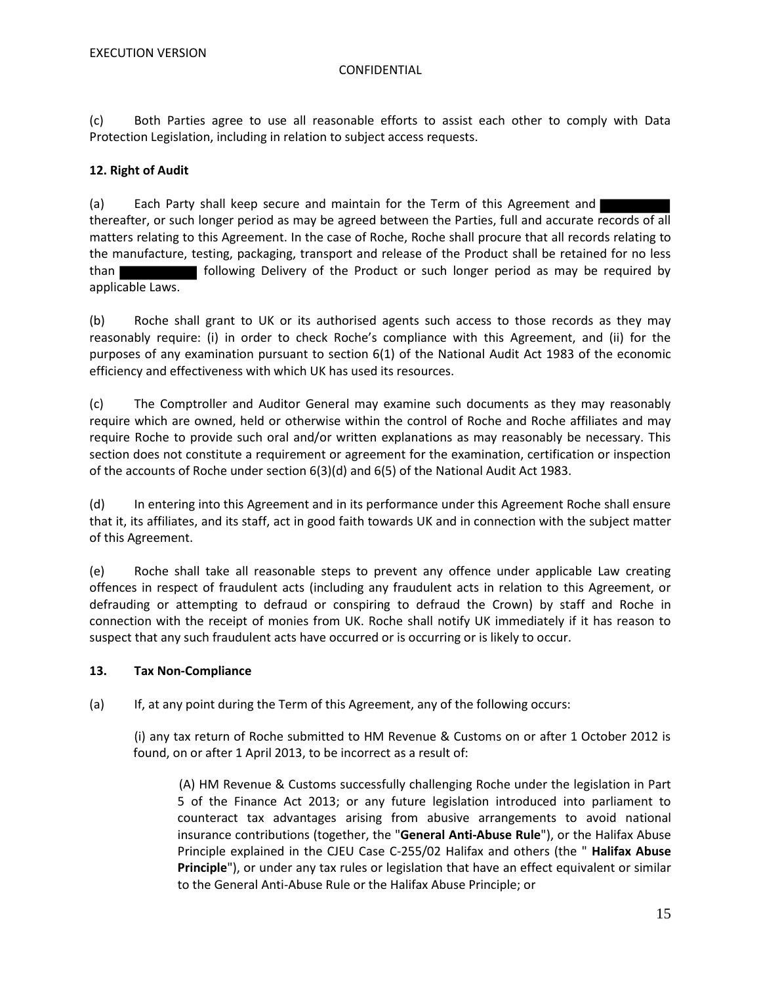(c) Both Parties agree to use all reasonable efforts to assist each other to comply with Data Protection Legislation, including in relation to subject access requests.

# **12. Right of Audit**

(a) Each Party shall keep secure and maintain for the Term of this Agreement and thereafter, or such longer period as may be agreed between the Parties, full and accurate records of all matters relating to this Agreement. In the case of Roche, Roche shall procure that all records relating to the manufacture, testing, packaging, transport and release of the Product shall be retained for no less than following Delivery of the Product or such longer period as may be required by applicable Laws.

(b) Roche shall grant to UK or its authorised agents such access to those records as they may reasonably require: (i) in order to check Roche's compliance with this Agreement, and (ii) for the purposes of any examination pursuant to section 6(1) of the National Audit Act 1983 of the economic efficiency and effectiveness with which UK has used its resources.

(c) The Comptroller and Auditor General may examine such documents as they may reasonably require which are owned, held or otherwise within the control of Roche and Roche affiliates and may require Roche to provide such oral and/or written explanations as may reasonably be necessary. This section does not constitute a requirement or agreement for the examination, certification or inspection of the accounts of Roche under section 6(3)(d) and 6(5) of the National Audit Act 1983.

(d) In entering into this Agreement and in its performance under this Agreement Roche shall ensure that it, its affiliates, and its staff, act in good faith towards UK and in connection with the subject matter of this Agreement.

(e) Roche shall take all reasonable steps to prevent any offence under applicable Law creating offences in respect of fraudulent acts (including any fraudulent acts in relation to this Agreement, or defrauding or attempting to defraud or conspiring to defraud the Crown) by staff and Roche in connection with the receipt of monies from UK. Roche shall notify UK immediately if it has reason to suspect that any such fraudulent acts have occurred or is occurring or is likely to occur.

# **13. Tax Non-Compliance**

(a) If, at any point during the Term of this Agreement, any of the following occurs:

(i) any tax return of Roche submitted to HM Revenue & Customs on or after 1 October 2012 is found, on or after 1 April 2013, to be incorrect as a result of:

(A) HM Revenue & Customs successfully challenging Roche under the legislation in Part 5 of the Finance Act 2013; or any future legislation introduced into parliament to counteract tax advantages arising from abusive arrangements to avoid national insurance contributions (together, the "**General Anti-Abuse Rule**"), or the Halifax Abuse Principle explained in the CJEU Case C-255/02 Halifax and others (the " **Halifax Abuse Principle**"), or under any tax rules or legislation that have an effect equivalent or similar to the General Anti-Abuse Rule or the Halifax Abuse Principle; or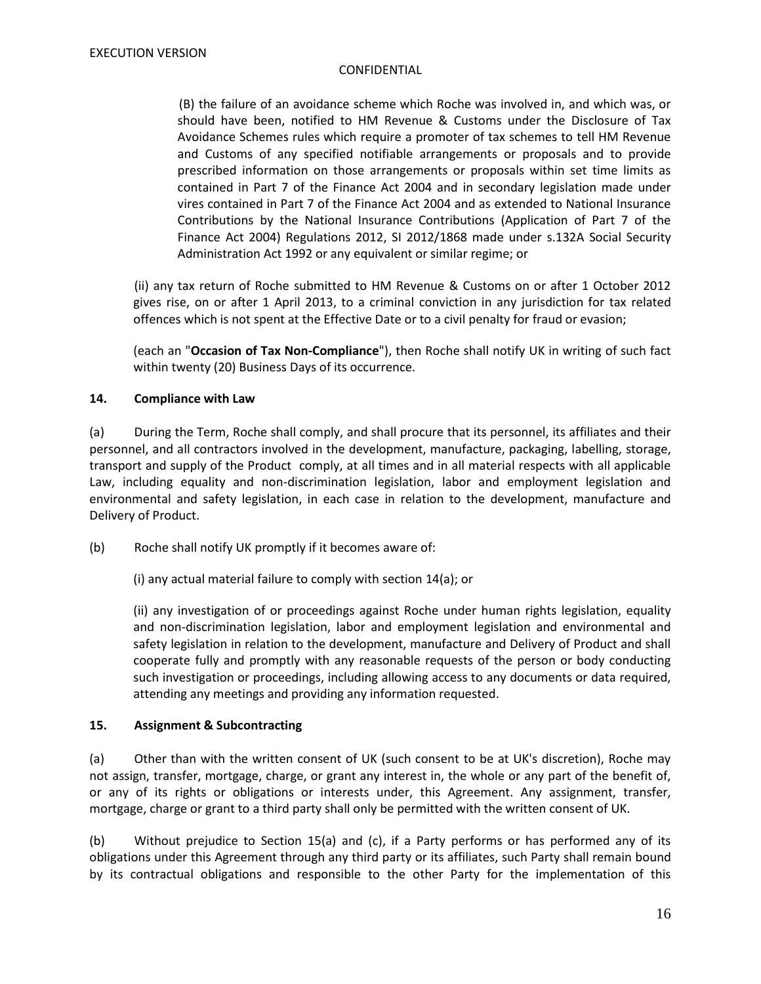(B) the failure of an avoidance scheme which Roche was involved in, and which was, or should have been, notified to HM Revenue & Customs under the Disclosure of Tax Avoidance Schemes rules which require a promoter of tax schemes to tell HM Revenue and Customs of any specified notifiable arrangements or proposals and to provide prescribed information on those arrangements or proposals within set time limits as contained in Part 7 of the Finance Act 2004 and in secondary legislation made under vires contained in Part 7 of the Finance Act 2004 and as extended to National Insurance Contributions by the National Insurance Contributions (Application of Part 7 of the Finance Act 2004) Regulations 2012, SI 2012/1868 made under s.132A Social Security Administration Act 1992 or any equivalent or similar regime; or

(ii) any tax return of Roche submitted to HM Revenue & Customs on or after 1 October 2012 gives rise, on or after 1 April 2013, to a criminal conviction in any jurisdiction for tax related offences which is not spent at the Effective Date or to a civil penalty for fraud or evasion;

(each an "**Occasion of Tax Non-Compliance**"), then Roche shall notify UK in writing of such fact within twenty (20) Business Days of its occurrence.

# **14. Compliance with Law**

(a) During the Term, Roche shall comply, and shall procure that its personnel, its affiliates and their personnel, and all contractors involved in the development, manufacture, packaging, labelling, storage, transport and supply of the Product comply, at all times and in all material respects with all applicable Law, including equality and non-discrimination legislation, labor and employment legislation and environmental and safety legislation, in each case in relation to the development, manufacture and Delivery of Product.

(b) Roche shall notify UK promptly if it becomes aware of:

(i) any actual material failure to comply with section 14(a); or

(ii) any investigation of or proceedings against Roche under human rights legislation, equality and non-discrimination legislation, labor and employment legislation and environmental and safety legislation in relation to the development, manufacture and Delivery of Product and shall cooperate fully and promptly with any reasonable requests of the person or body conducting such investigation or proceedings, including allowing access to any documents or data required, attending any meetings and providing any information requested.

# **15. Assignment & Subcontracting**

(a) Other than with the written consent of UK (such consent to be at UK's discretion), Roche may not assign, transfer, mortgage, charge, or grant any interest in, the whole or any part of the benefit of, or any of its rights or obligations or interests under, this Agreement. Any assignment, transfer, mortgage, charge or grant to a third party shall only be permitted with the written consent of UK.

(b) Without prejudice to Section 15(a) and (c), if a Party performs or has performed any of its obligations under this Agreement through any third party or its affiliates, such Party shall remain bound by its contractual obligations and responsible to the other Party for the implementation of this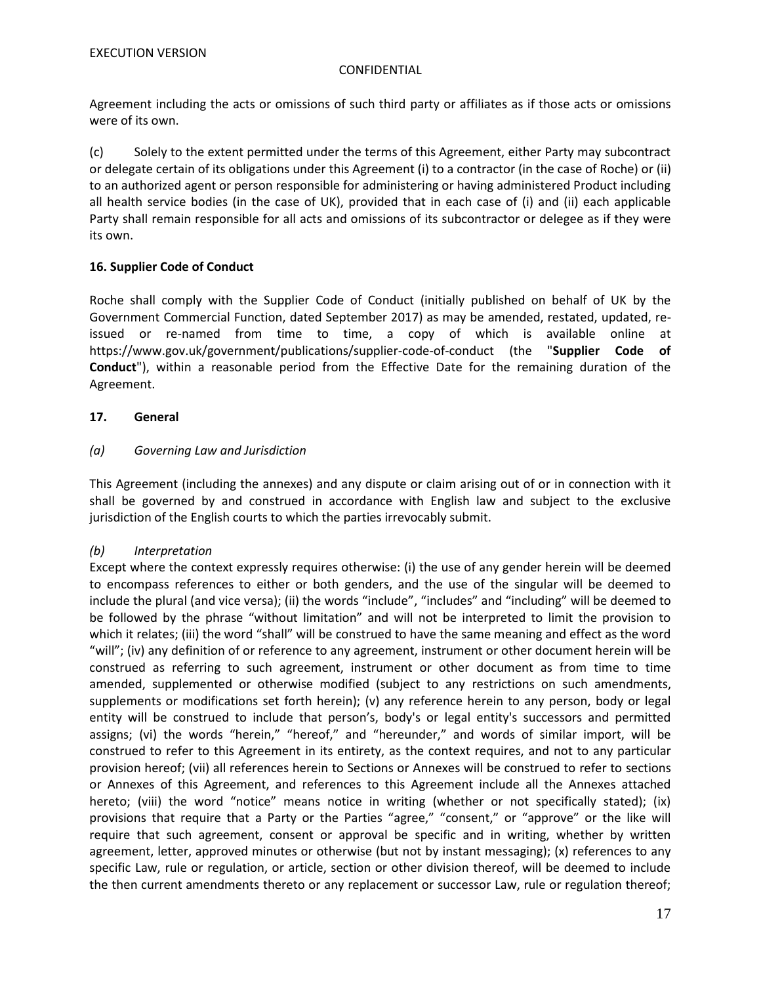Agreement including the acts or omissions of such third party or affiliates as if those acts or omissions were of its own.

(c) Solely to the extent permitted under the terms of this Agreement, either Party may subcontract or delegate certain of its obligations under this Agreement (i) to a contractor (in the case of Roche) or (ii) to an authorized agent or person responsible for administering or having administered Product including all health service bodies (in the case of UK), provided that in each case of (i) and (ii) each applicable Party shall remain responsible for all acts and omissions of its subcontractor or delegee as if they were its own.

# **16. Supplier Code of Conduct**

Roche shall comply with the Supplier Code of Conduct (initially published on behalf of UK by the Government Commercial Function, dated September 2017) as may be amended, restated, updated, reissued or re-named from time to time, a copy of which is available online at https://www.gov.uk/government/publications/supplier-code-of-conduct (the "**Supplier Code of Conduct**"), within a reasonable period from the Effective Date for the remaining duration of the Agreement.

# **17. General**

# *(a) Governing Law and Jurisdiction*

This Agreement (including the annexes) and any dispute or claim arising out of or in connection with it shall be governed by and construed in accordance with English law and subject to the exclusive jurisdiction of the English courts to which the parties irrevocably submit.

# *(b) Interpretation*

Except where the context expressly requires otherwise: (i) the use of any gender herein will be deemed to encompass references to either or both genders, and the use of the singular will be deemed to include the plural (and vice versa); (ii) the words "include", "includes" and "including" will be deemed to be followed by the phrase "without limitation" and will not be interpreted to limit the provision to which it relates; (iii) the word "shall" will be construed to have the same meaning and effect as the word "will"; (iv) any definition of or reference to any agreement, instrument or other document herein will be construed as referring to such agreement, instrument or other document as from time to time amended, supplemented or otherwise modified (subject to any restrictions on such amendments, supplements or modifications set forth herein); (v) any reference herein to any person, body or legal entity will be construed to include that person's, body's or legal entity's successors and permitted assigns; (vi) the words "herein," "hereof," and "hereunder," and words of similar import, will be construed to refer to this Agreement in its entirety, as the context requires, and not to any particular provision hereof; (vii) all references herein to Sections or Annexes will be construed to refer to sections or Annexes of this Agreement, and references to this Agreement include all the Annexes attached hereto; (viii) the word "notice" means notice in writing (whether or not specifically stated); (ix) provisions that require that a Party or the Parties "agree," "consent," or "approve" or the like will require that such agreement, consent or approval be specific and in writing, whether by written agreement, letter, approved minutes or otherwise (but not by instant messaging); (x) references to any specific Law, rule or regulation, or article, section or other division thereof, will be deemed to include the then current amendments thereto or any replacement or successor Law, rule or regulation thereof;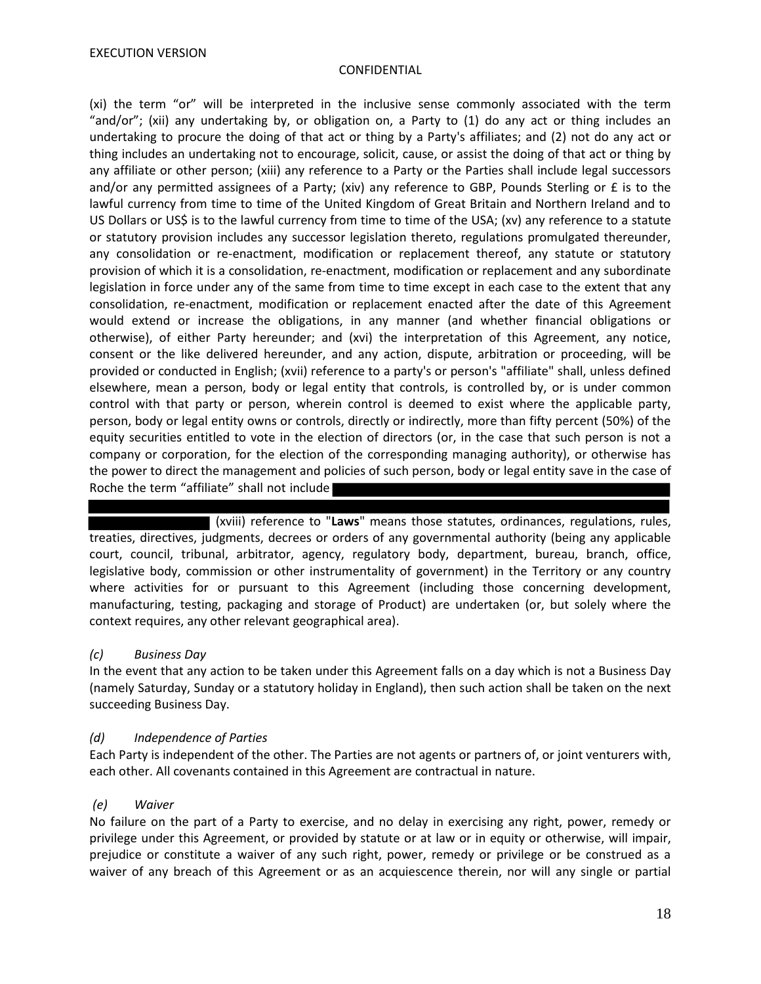(xi) the term "or" will be interpreted in the inclusive sense commonly associated with the term "and/or"; (xii) any undertaking by, or obligation on, a Party to (1) do any act or thing includes an undertaking to procure the doing of that act or thing by a Party's affiliates; and (2) not do any act or thing includes an undertaking not to encourage, solicit, cause, or assist the doing of that act or thing by any affiliate or other person; (xiii) any reference to a Party or the Parties shall include legal successors and/or any permitted assignees of a Party; (xiv) any reference to GBP, Pounds Sterling or £ is to the lawful currency from time to time of the United Kingdom of Great Britain and Northern Ireland and to US Dollars or US\$ is to the lawful currency from time to time of the USA; (xv) any reference to a statute or statutory provision includes any successor legislation thereto, regulations promulgated thereunder, any consolidation or re-enactment, modification or replacement thereof, any statute or statutory provision of which it is a consolidation, re-enactment, modification or replacement and any subordinate legislation in force under any of the same from time to time except in each case to the extent that any consolidation, re-enactment, modification or replacement enacted after the date of this Agreement would extend or increase the obligations, in any manner (and whether financial obligations or otherwise), of either Party hereunder; and (xvi) the interpretation of this Agreement, any notice, consent or the like delivered hereunder, and any action, dispute, arbitration or proceeding, will be provided or conducted in English; (xvii) reference to a party's or person's "affiliate" shall, unless defined elsewhere, mean a person, body or legal entity that controls, is controlled by, or is under common control with that party or person, wherein control is deemed to exist where the applicable party, person, body or legal entity owns or controls, directly or indirectly, more than fifty percent (50%) of the equity securities entitled to vote in the election of directors (or, in the case that such person is not a company or corporation, for the election of the corresponding managing authority), or otherwise has the power to direct the management and policies of such person, body or legal entity save in the case of Roche the term "affiliate" shall not include

(xviii) reference to "**Laws**" means those statutes, ordinances, regulations, rules, treaties, directives, judgments, decrees or orders of any governmental authority (being any applicable court, council, tribunal, arbitrator, agency, regulatory body, department, bureau, branch, office, legislative body, commission or other instrumentality of government) in the Territory or any country where activities for or pursuant to this Agreement (including those concerning development, manufacturing, testing, packaging and storage of Product) are undertaken (or, but solely where the context requires, any other relevant geographical area).

# *(c) Business Day*

In the event that any action to be taken under this Agreement falls on a day which is not a Business Day (namely Saturday, Sunday or a statutory holiday in England), then such action shall be taken on the next succeeding Business Day.

# *(d) Independence of Parties*

Each Party is independent of the other. The Parties are not agents or partners of, or joint venturers with, each other. All covenants contained in this Agreement are contractual in nature.

# *(e) Waiver*

No failure on the part of a Party to exercise, and no delay in exercising any right, power, remedy or privilege under this Agreement, or provided by statute or at law or in equity or otherwise, will impair, prejudice or constitute a waiver of any such right, power, remedy or privilege or be construed as a waiver of any breach of this Agreement or as an acquiescence therein, nor will any single or partial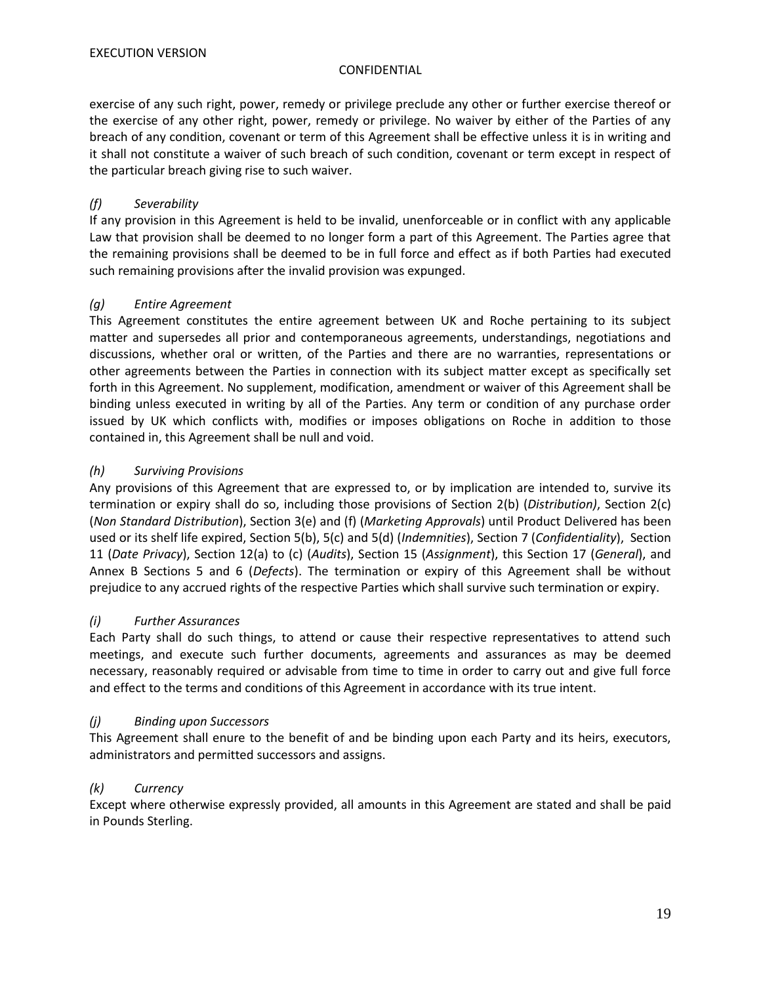exercise of any such right, power, remedy or privilege preclude any other or further exercise thereof or the exercise of any other right, power, remedy or privilege. No waiver by either of the Parties of any breach of any condition, covenant or term of this Agreement shall be effective unless it is in writing and it shall not constitute a waiver of such breach of such condition, covenant or term except in respect of the particular breach giving rise to such waiver.

# *(f) Severability*

If any provision in this Agreement is held to be invalid, unenforceable or in conflict with any applicable Law that provision shall be deemed to no longer form a part of this Agreement. The Parties agree that the remaining provisions shall be deemed to be in full force and effect as if both Parties had executed such remaining provisions after the invalid provision was expunged.

# *(g) Entire Agreement*

This Agreement constitutes the entire agreement between UK and Roche pertaining to its subject matter and supersedes all prior and contemporaneous agreements, understandings, negotiations and discussions, whether oral or written, of the Parties and there are no warranties, representations or other agreements between the Parties in connection with its subject matter except as specifically set forth in this Agreement. No supplement, modification, amendment or waiver of this Agreement shall be binding unless executed in writing by all of the Parties. Any term or condition of any purchase order issued by UK which conflicts with, modifies or imposes obligations on Roche in addition to those contained in, this Agreement shall be null and void.

# *(h) Surviving Provisions*

Any provisions of this Agreement that are expressed to, or by implication are intended to, survive its termination or expiry shall do so, including those provisions of Section 2(b) (*Distribution)*, Section 2(c) (*Non Standard Distribution*), Section 3(e) and (f) (*Marketing Approvals*) until Product Delivered has been used or its shelf life expired, Section 5(b), 5(c) and 5(d) (*Indemnities*), Section 7 (*Confidentiality*), Section 11 (*Date Privacy*), Section 12(a) to (c) (*Audits*), Section 15 (*Assignment*), this Section 17 (*General*), and Annex B Sections 5 and 6 (*Defects*). The termination or expiry of this Agreement shall be without prejudice to any accrued rights of the respective Parties which shall survive such termination or expiry.

# *(i) Further Assurances*

Each Party shall do such things, to attend or cause their respective representatives to attend such meetings, and execute such further documents, agreements and assurances as may be deemed necessary, reasonably required or advisable from time to time in order to carry out and give full force and effect to the terms and conditions of this Agreement in accordance with its true intent.

# *(j) Binding upon Successors*

This Agreement shall enure to the benefit of and be binding upon each Party and its heirs, executors, administrators and permitted successors and assigns.

# *(k) Currency*

Except where otherwise expressly provided, all amounts in this Agreement are stated and shall be paid in Pounds Sterling.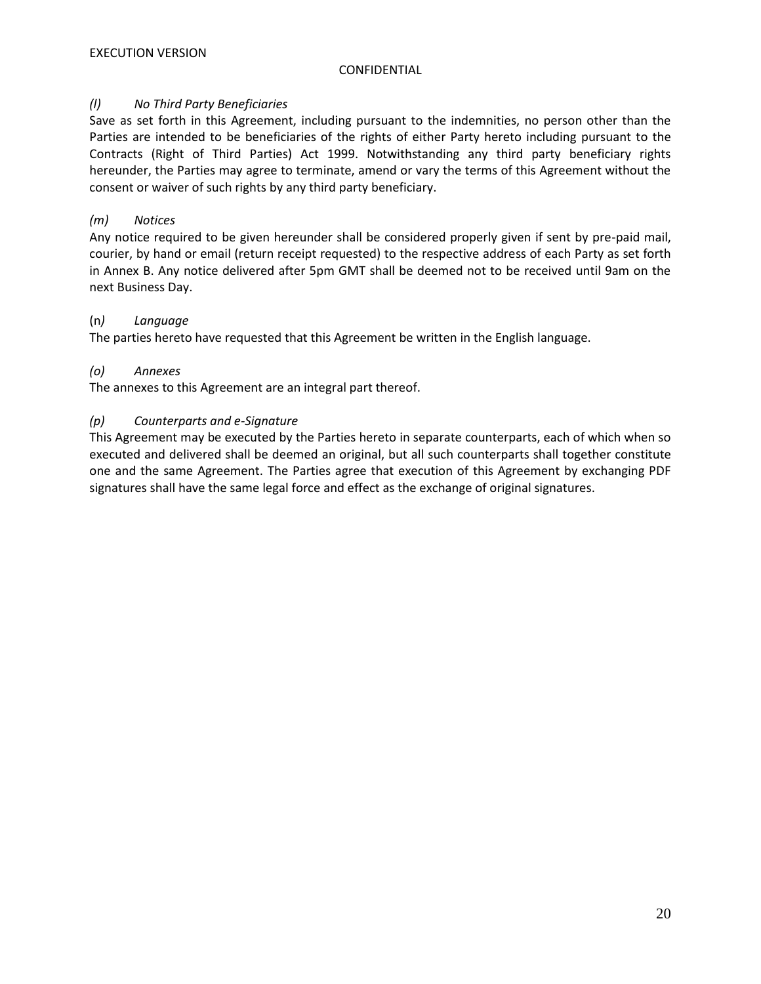# *(l) No Third Party Beneficiaries*

Save as set forth in this Agreement, including pursuant to the indemnities, no person other than the Parties are intended to be beneficiaries of the rights of either Party hereto including pursuant to the Contracts (Right of Third Parties) Act 1999. Notwithstanding any third party beneficiary rights hereunder, the Parties may agree to terminate, amend or vary the terms of this Agreement without the consent or waiver of such rights by any third party beneficiary.

# *(m) Notices*

Any notice required to be given hereunder shall be considered properly given if sent by pre-paid mail, courier, by hand or email (return receipt requested) to the respective address of each Party as set forth in Annex B. Any notice delivered after 5pm GMT shall be deemed not to be received until 9am on the next Business Day.

# (n*) Language*

The parties hereto have requested that this Agreement be written in the English language.

# *(o) Annexes*

The annexes to this Agreement are an integral part thereof.

# *(p) Counterparts and e-Signature*

This Agreement may be executed by the Parties hereto in separate counterparts, each of which when so executed and delivered shall be deemed an original, but all such counterparts shall together constitute one and the same Agreement. The Parties agree that execution of this Agreement by exchanging PDF signatures shall have the same legal force and effect as the exchange of original signatures.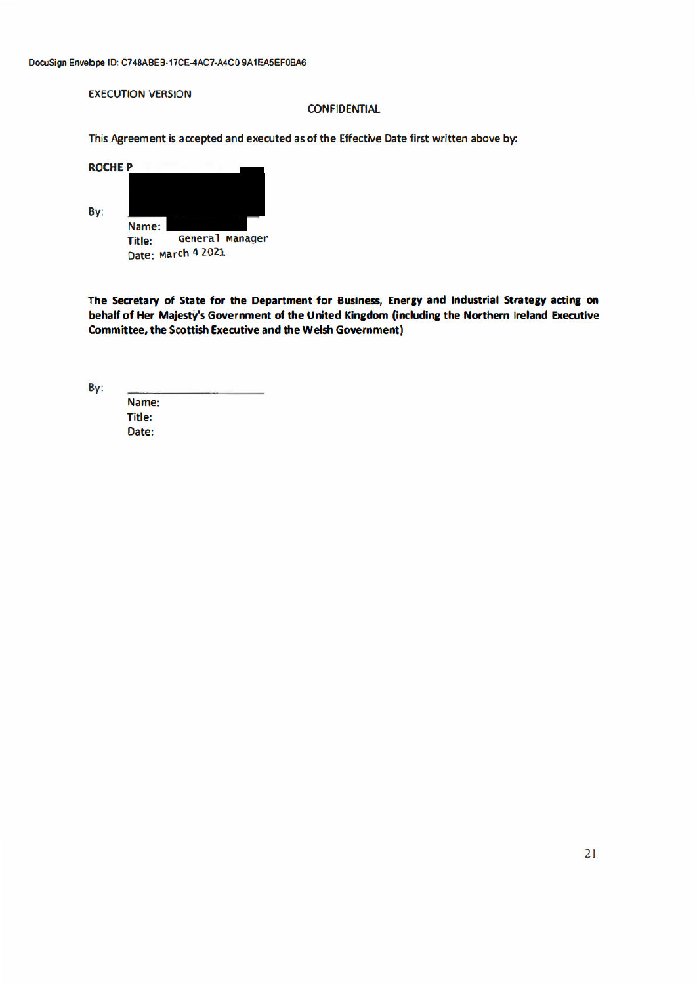#### **EXECUTION VERSION**

#### **CONFIDENTIAL**

This Agreement is accepted and executed as of the Effective Date first written above by:

| <b>ROCHEP</b> |                 |                    |                 |
|---------------|-----------------|--------------------|-----------------|
| By:           |                 |                    |                 |
|               | Name:<br>Title: |                    | General Manager |
|               |                 | Date: March 4 2021 |                 |

The Secretary of State for the Department for Business, Energy and Industrial Strategy acting on behalf of Her Majesty's Government of the United Kingdom (including the Northern Ireland Executive **Committee, the Scottish Executive and the Welsh Government)** 

By:

Name: **Title:** Date: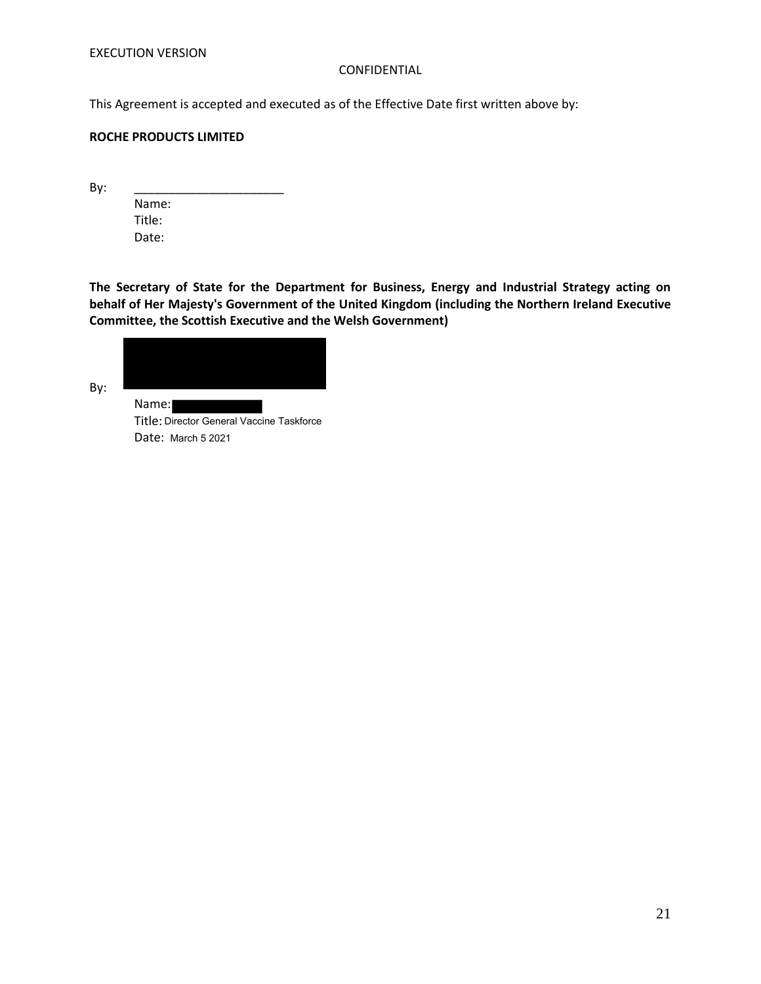This Agreement is accepted and executed as of the Effective Date first written above by:

### **ROCHE PRODUCTS LIMITED**

By: \_\_\_\_\_\_\_\_\_\_\_\_\_\_\_\_\_\_\_\_\_\_

Name: Title: Date:

**The Secretary of State for the Department for Business, Energy and Industrial Strategy acting on behalf of Her Majesty's Government of the United Kingdom (including the Northern Ireland Executive Committee, the Scottish Executive and the Welsh Government)**



By:

Name: Title: Director General Vaccine Taskforce Date: March 5 2021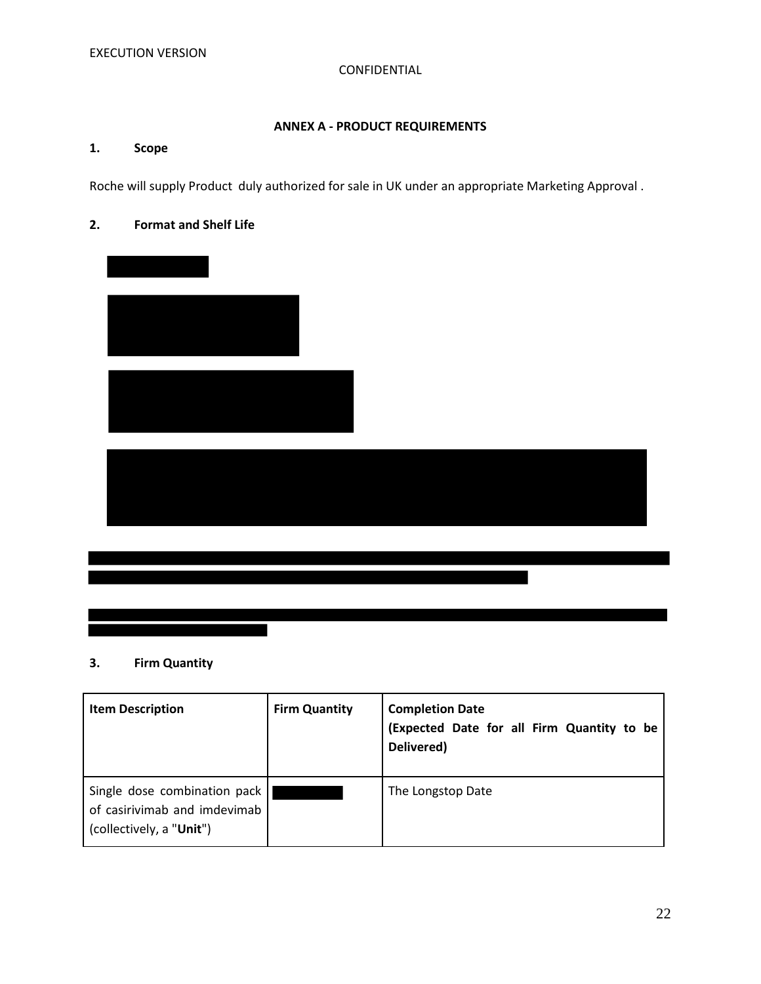# **ANNEX A - PRODUCT REQUIREMENTS**

# **1. Scope**

Roche will supply Product duly authorized for sale in UK under an appropriate Marketing Approval .

# **2. Format and Shelf Life**



# **3. Firm Quantity**

| <b>Item Description</b>                                                                  | <b>Firm Quantity</b> | <b>Completion Date</b><br>(Expected Date for all Firm Quantity to be<br>Delivered) |
|------------------------------------------------------------------------------------------|----------------------|------------------------------------------------------------------------------------|
| Single dose combination pack<br>of casirivimab and imdevimab<br>(collectively, a "Unit") |                      | The Longstop Date                                                                  |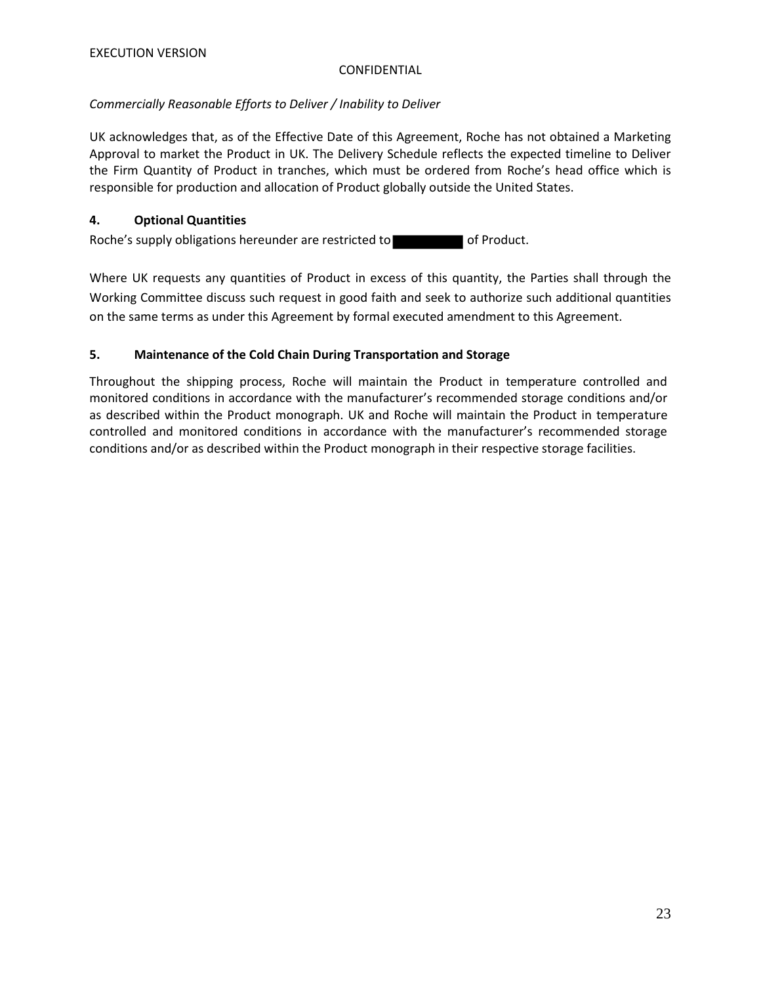# *Commercially Reasonable Efforts to Deliver / Inability to Deliver*

UK acknowledges that, as of the Effective Date of this Agreement, Roche has not obtained a Marketing Approval to market the Product in UK. The Delivery Schedule reflects the expected timeline to Deliver the Firm Quantity of Product in tranches, which must be ordered from Roche's head office which is responsible for production and allocation of Product globally outside the United States.

# **4. Optional Quantities**

Roche's supply obligations hereunder are restricted to of Product.

Where UK requests any quantities of Product in excess of this quantity, the Parties shall through the Working Committee discuss such request in good faith and seek to authorize such additional quantities on the same terms as under this Agreement by formal executed amendment to this Agreement.

# **5. Maintenance of the Cold Chain During Transportation and Storage**

Throughout the shipping process, Roche will maintain the Product in temperature controlled and monitored conditions in accordance with the manufacturer's recommended storage conditions and/or as described within the Product monograph. UK and Roche will maintain the Product in temperature controlled and monitored conditions in accordance with the manufacturer's recommended storage conditions and/or as described within the Product monograph in their respective storage facilities.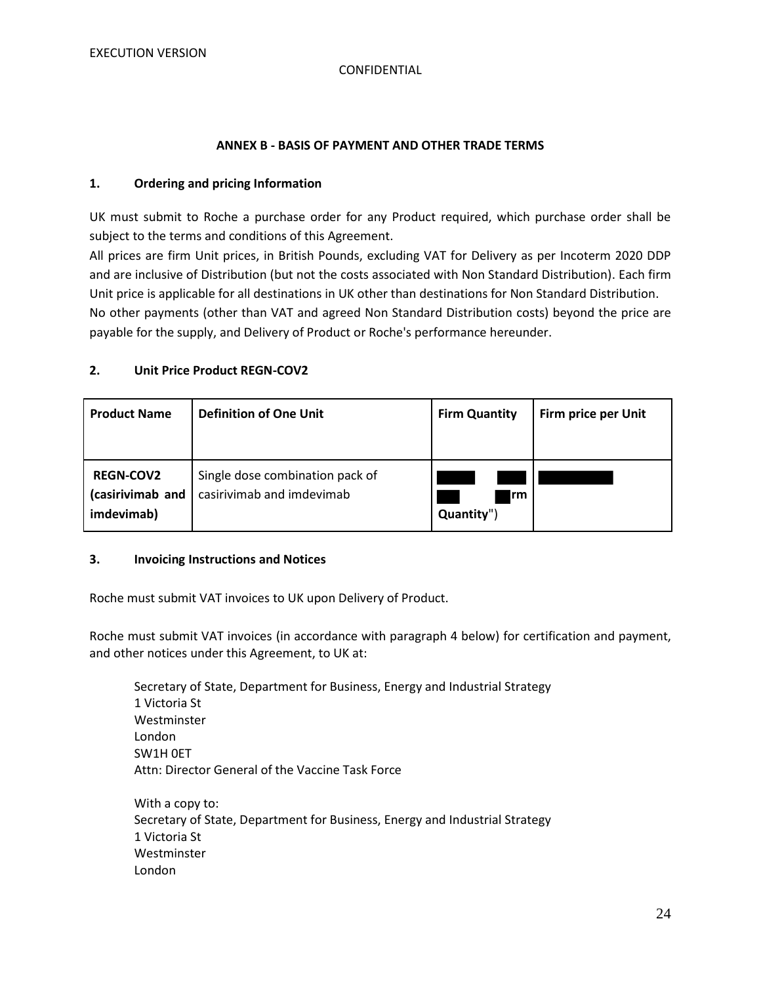#### **ANNEX B - BASIS OF PAYMENT AND OTHER TRADE TERMS**

#### **1. Ordering and pricing Information**

UK must submit to Roche a purchase order for any Product required, which purchase order shall be subject to the terms and conditions of this Agreement.

All prices are firm Unit prices, in British Pounds, excluding VAT for Delivery as per Incoterm 2020 DDP and are inclusive of Distribution (but not the costs associated with Non Standard Distribution). Each firm Unit price is applicable for all destinations in UK other than destinations for Non Standard Distribution. No other payments (other than VAT and agreed Non Standard Distribution costs) beyond the price are payable for the supply, and Delivery of Product or Roche's performance hereunder.

#### **2. Unit Price Product REGN-COV2**

| <b>Product Name</b>                                | <b>Definition of One Unit</b>                                | <b>Firm Quantity</b>     | Firm price per Unit |
|----------------------------------------------------|--------------------------------------------------------------|--------------------------|---------------------|
| <b>REGN-COV2</b><br>(casirivimab and<br>imdevimab) | Single dose combination pack of<br>casirivimab and imdevimab | <b>Irm</b><br>Quantity") |                     |

#### **3. Invoicing Instructions and Notices**

Roche must submit VAT invoices to UK upon Delivery of Product.

Roche must submit VAT invoices (in accordance with paragraph 4 below) for certification and payment, and other notices under this Agreement, to UK at:

Secretary of State, Department for Business, Energy and Industrial Strategy 1 Victoria St Westminster London SW1H 0ET Attn: Director General of the Vaccine Task Force With a copy to: Secretary of State, Department for Business, Energy and Industrial Strategy 1 Victoria St Westminster London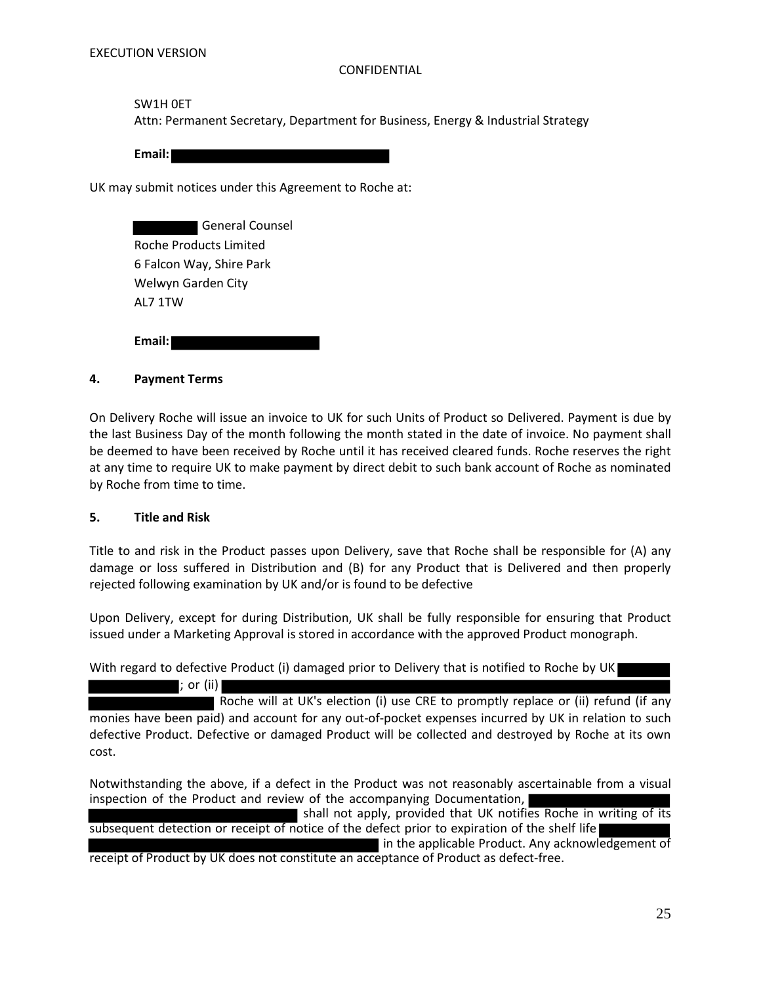### SW1H 0ET

Attn: Permanent Secretary, Department for Business, Energy & Industrial Strategy

**Email:** 

UK may submit notices under this Agreement to Roche at:

 General Counsel Roche Products Limited 6 Falcon Way, Shire Park Welwyn Garden City AL7 1TW

**Email:** 

# **4. Payment Terms**

On Delivery Roche will issue an invoice to UK for such Units of Product so Delivered. Payment is due by the last Business Day of the month following the month stated in the date of invoice. No payment shall be deemed to have been received by Roche until it has received cleared funds. Roche reserves the right at any time to require UK to make payment by direct debit to such bank account of Roche as nominated by Roche from time to time.

#### **5. Title and Risk**

Title to and risk in the Product passes upon Delivery, save that Roche shall be responsible for (A) any damage or loss suffered in Distribution and (B) for any Product that is Delivered and then properly rejected following examination by UK and/or is found to be defective

Upon Delivery, except for during Distribution, UK shall be fully responsible for ensuring that Product issued under a Marketing Approval is stored in accordance with the approved Product monograph.

With regard to defective Product (i) damaged prior to Delivery that is notified to Roche by UK

; or (ii) Roche will at UK's election (i) use CRE to promptly replace or (ii) refund (if any monies have been paid) and account for any out-of-pocket expenses incurred by UK in relation to such defective Product. Defective or damaged Product will be collected and destroyed by Roche at its own cost.

Notwithstanding the above, if a defect in the Product was not reasonably ascertainable from a visual inspection of the Product and review of the accompanying Documentation,

shall not apply, provided that UK notifies Roche in writing of its subsequent detection or receipt of notice of the defect prior to expiration of the shelf life

in the applicable Product. Any acknowledgement of receipt of Product by UK does not constitute an acceptance of Product as defect-free.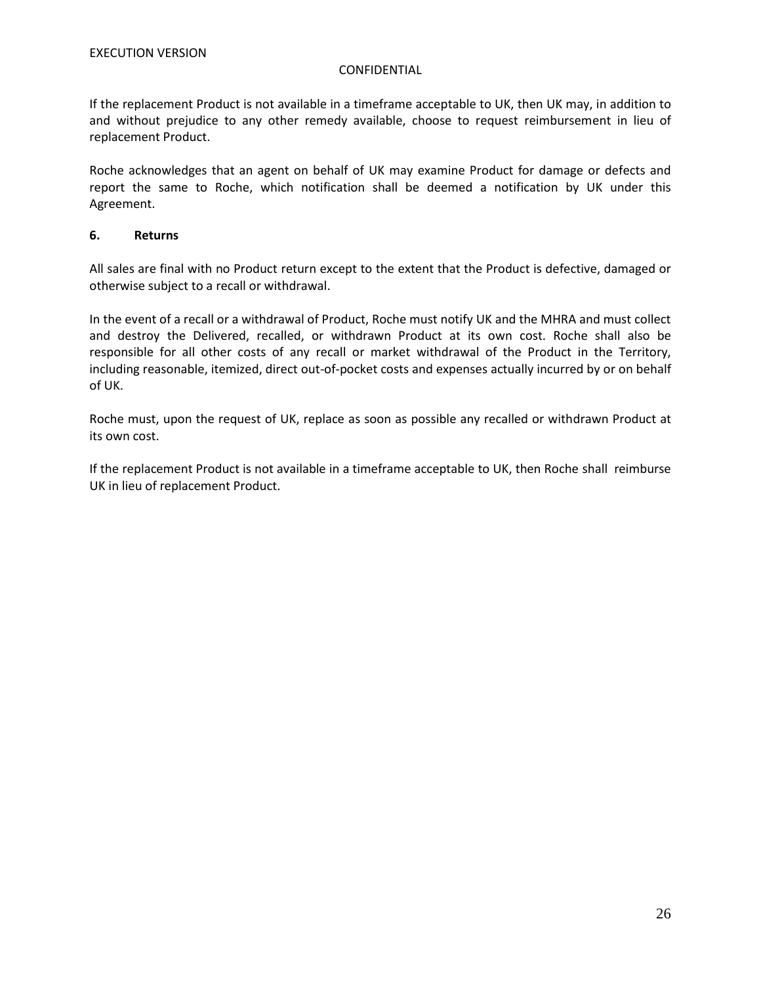If the replacement Product is not available in a timeframe acceptable to UK, then UK may, in addition to and without prejudice to any other remedy available, choose to request reimbursement in lieu of replacement Product.

Roche acknowledges that an agent on behalf of UK may examine Product for damage or defects and report the same to Roche, which notification shall be deemed a notification by UK under this Agreement.

### **6. Returns**

All sales are final with no Product return except to the extent that the Product is defective, damaged or otherwise subject to a recall or withdrawal.

In the event of a recall or a withdrawal of Product, Roche must notify UK and the MHRA and must collect and destroy the Delivered, recalled, or withdrawn Product at its own cost. Roche shall also be responsible for all other costs of any recall or market withdrawal of the Product in the Territory, including reasonable, itemized, direct out-of-pocket costs and expenses actually incurred by or on behalf of UK.

Roche must, upon the request of UK, replace as soon as possible any recalled or withdrawn Product at its own cost.

If the replacement Product is not available in a timeframe acceptable to UK, then Roche shall reimburse UK in lieu of replacement Product.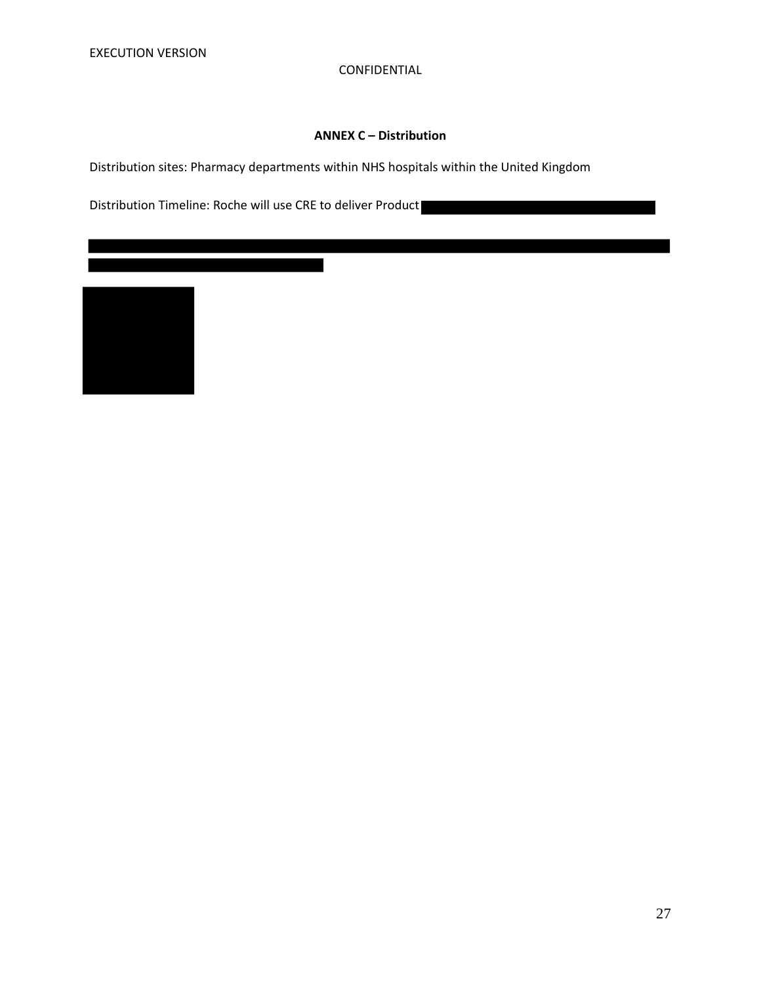# **ANNEX C – Distribution**

Distribution sites: Pharmacy departments within NHS hospitals within the United Kingdom

Distribution Timeline: Roche will use CRE to deliver Product

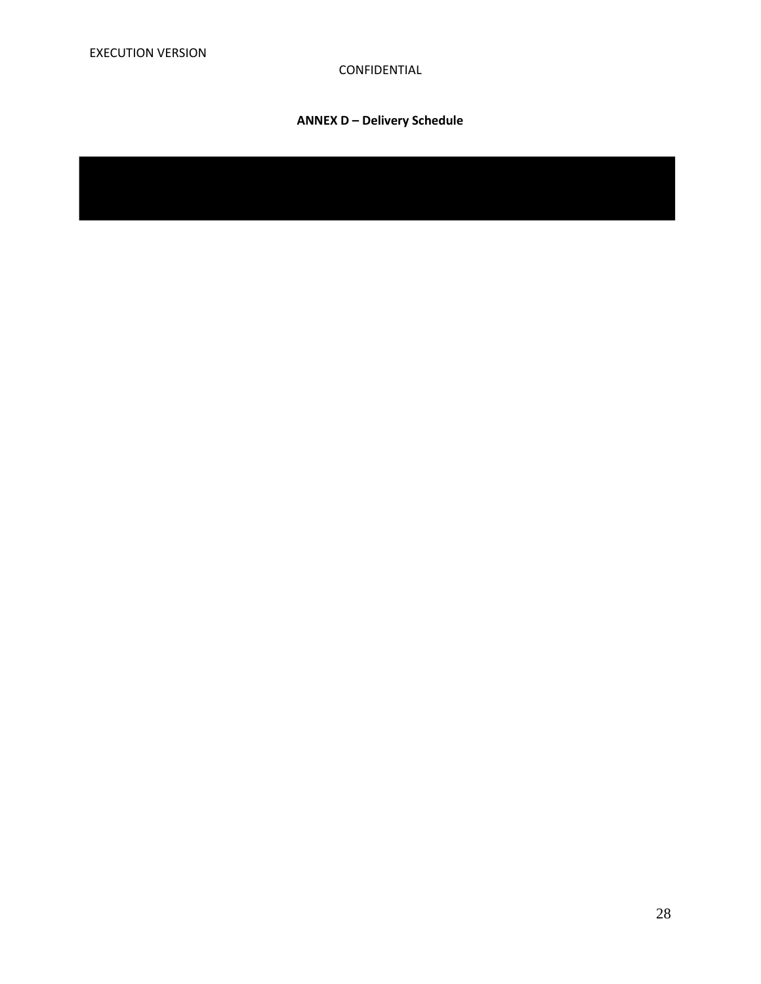# **ANNEX D – Delivery Schedule**

28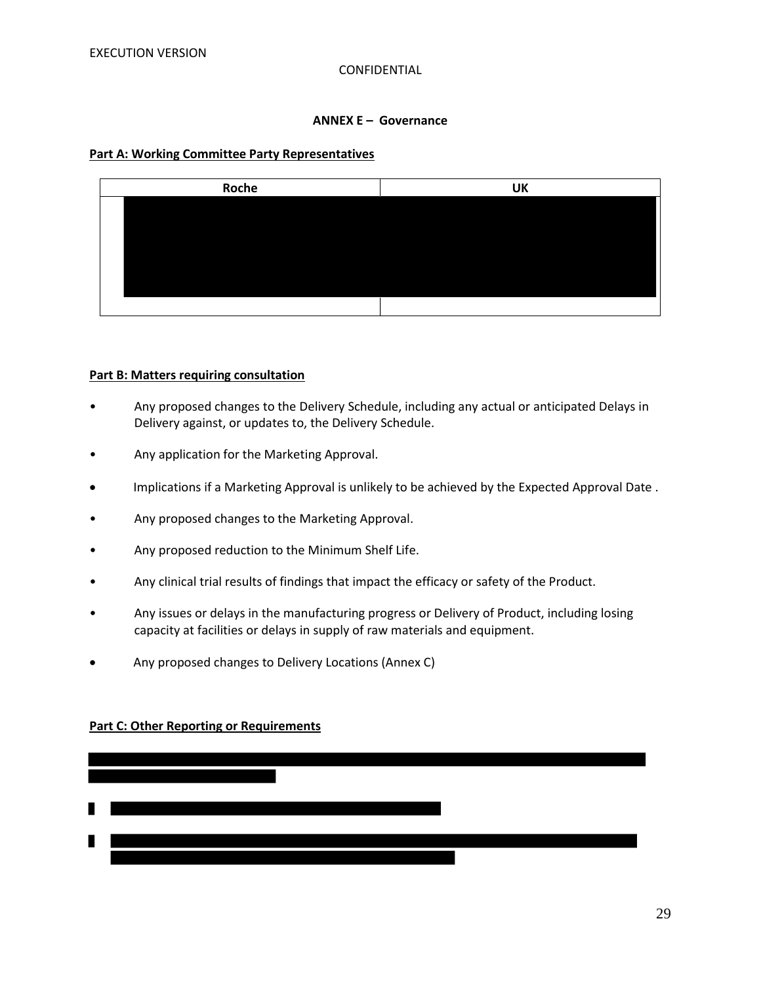### **ANNEX E – Governance**

#### **Part A: Working Committee Party Representatives**



#### **Part B: Matters requiring consultation**

- Any proposed changes to the Delivery Schedule, including any actual or anticipated Delays in Delivery against, or updates to, the Delivery Schedule.
- Any application for the Marketing Approval.
- Implications if a Marketing Approval is unlikely to be achieved by the Expected Approval Date .
- Any proposed changes to the Marketing Approval.
- Any proposed reduction to the Minimum Shelf Life.
- Any clinical trial results of findings that impact the efficacy or safety of the Product.
- Any issues or delays in the manufacturing progress or Delivery of Product, including losing capacity at facilities or delays in supply of raw materials and equipment.
- Any proposed changes to Delivery Locations (Annex C)

# **Part C: Other Reporting or Requirements**

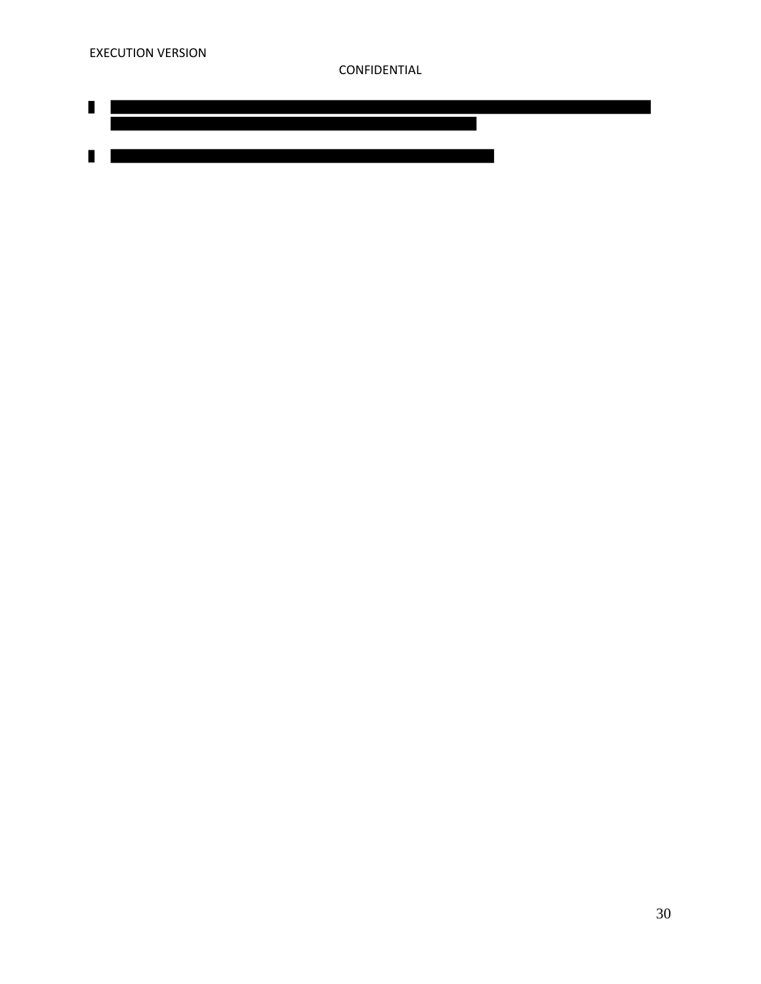$\blacksquare$ 

 $\blacksquare$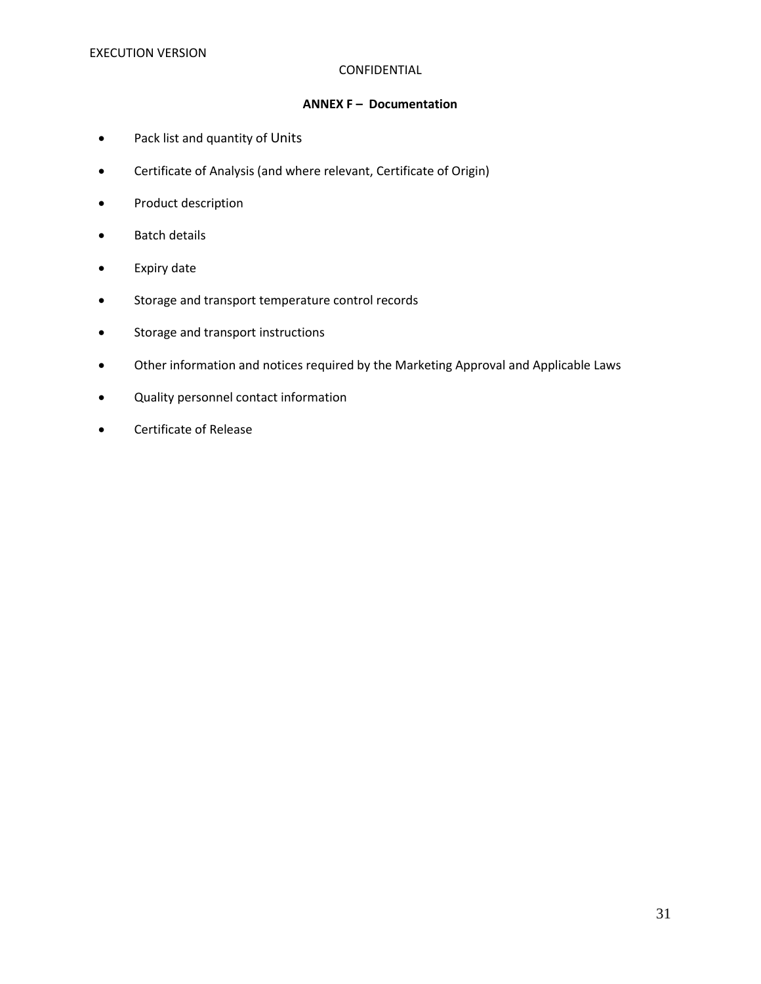# **ANNEX F – Documentation**

- Pack list and quantity of Units
- Certificate of Analysis (and where relevant, Certificate of Origin)
- Product description
- Batch details
- Expiry date
- Storage and transport temperature control records
- Storage and transport instructions
- Other information and notices required by the Marketing Approval and Applicable Laws
- Quality personnel contact information
- Certificate of Release